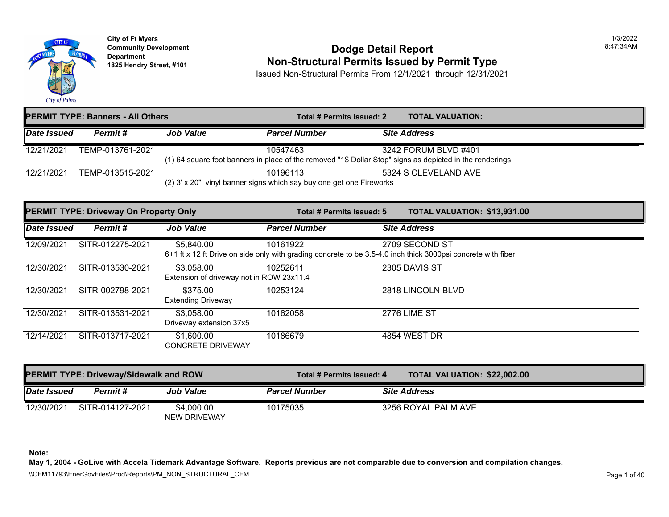

## **Community Development Community Development Community Development 1825 Non-Structural Permits Issued by Permit Type**

Issued Non-Structural Permits From 12/1/2021 through 12/31/2021

| <b>PERMIT TYPE: Banners - All Others</b> |                  |                                                                     |                      | Total # Permits Issued: 2 | <b>TOTAL VALUATION:</b>                                                                                                          |
|------------------------------------------|------------------|---------------------------------------------------------------------|----------------------|---------------------------|----------------------------------------------------------------------------------------------------------------------------------|
| Date Issued                              | Permit #         | <b>Job Value</b>                                                    | <b>Parcel Number</b> |                           | <b>Site Address</b>                                                                                                              |
| 12/21/2021                               | TEMP-013761-2021 |                                                                     | 10547463             |                           | 3242 FORUM BLVD #401<br>(1) 64 square foot banners in place of the removed "1\$ Dollar Stop" signs as depicted in the renderings |
| 12/21/2021                               | TEMP-013515-2021 | (2) 3' x 20" vinyl banner signs which say buy one get one Fireworks | 10196113             |                           | 5324 S CLEVELAND AVE                                                                                                             |

|             | <b>PERMIT TYPE: Driveway On Property Only</b> |                                                        | Total # Permits Issued: 5                                                                                                | <b>TOTAL VALUATION: \$13,931</b> |  |
|-------------|-----------------------------------------------|--------------------------------------------------------|--------------------------------------------------------------------------------------------------------------------------|----------------------------------|--|
| Date Issued | Permit#                                       | <b>Job Value</b>                                       | <b>Parcel Number</b>                                                                                                     | <b>Site Address</b>              |  |
| 12/09/2021  | SITR-012275-2021                              | \$5,840.00                                             | 10161922<br>6+1 ft x 12 ft Drive on side only with grading concrete to be 3.5-4.0 inch thick 3000psi concrete with fiber | 2709 SECOND ST                   |  |
| 12/30/2021  | SITR-013530-2021                              | \$3,058.00<br>Extension of driveway not in ROW 23x11.4 | 10252611                                                                                                                 | 2305 DAVIS ST                    |  |
| 12/30/2021  | SITR-002798-2021                              | \$375.00<br><b>Extending Driveway</b>                  | 10253124                                                                                                                 | 2818 LINCOLN BLVD                |  |
| 12/30/2021  | SITR-013531-2021                              | \$3,058.00<br>Driveway extension 37x5                  | 10162058                                                                                                                 | <b>2776 LIME ST</b>              |  |
| 12/14/2021  | SITR-013717-2021                              | \$1,600.00<br><b>CONCRETE DRIVEWAY</b>                 | 10186679                                                                                                                 | 4854 WEST DR                     |  |

| <b>PERMIT TYPE: Driveway/Sidewalk and ROW</b> |                  |                                   |                      | Total # Permits Issued: 4 |                     | <b>TOTAL VALUATION: \$22,002</b> |
|-----------------------------------------------|------------------|-----------------------------------|----------------------|---------------------------|---------------------|----------------------------------|
| <b>Date Issued</b>                            | Permit #         | <b>Job Value</b>                  | <b>Parcel Number</b> |                           | <b>Site Address</b> |                                  |
| 12/30/2021                                    | SITR-014127-2021 | \$4,000.00<br><b>NEW DRIVEWAY</b> | 10175035             |                           | 3256 ROYAL PALM AVE |                                  |

**Note:**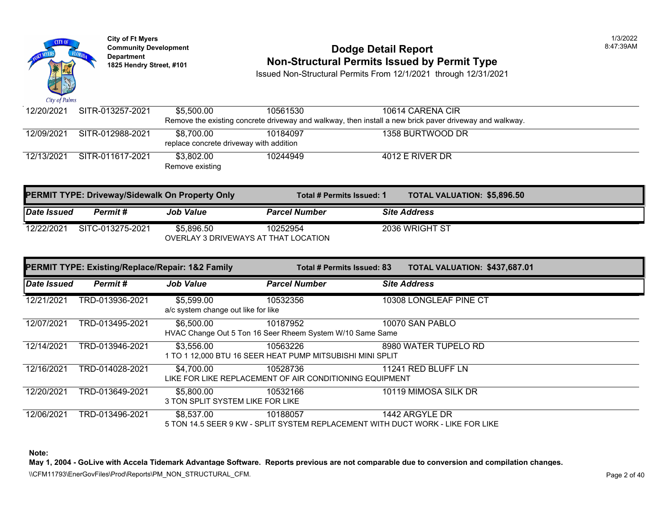

# **Community Development** 8:47:39AM **Dodge Detail Report Department Non-Structural Permits Issued by Permit Type 1825 Hendry Street, #101**

Issued Non-Structural Permits From 12/1/2021 through 12/31/2021

| 12/20/2021                              | SITR-013257-2021 | \$5.500.00      | 10561530 | 10614 CARENA CIR                                                                                      |  |
|-----------------------------------------|------------------|-----------------|----------|-------------------------------------------------------------------------------------------------------|--|
|                                         |                  |                 |          | Remove the existing concrete driveway and walkway, then install a new brick paver driveway and walkwa |  |
| 12/09/2021                              | SITR-012988-2021 | \$8.700.00      | 10184097 | 1358 BURTWOOD DR                                                                                      |  |
| replace concrete driveway with addition |                  |                 |          |                                                                                                       |  |
| 12/13/2021                              | SITR-011617-2021 | \$3.802.00      | 10244949 | 4012 E RIVER DR                                                                                       |  |
|                                         |                  | Remove existing |          |                                                                                                       |  |

| <b>PERMIT TYPE: Driveway/Sidewalk On Property Only</b> |                  |                                      | Total # Permits Issued: 1 | <b>TOTAL VALUATION: \$5,896.5</b> |
|--------------------------------------------------------|------------------|--------------------------------------|---------------------------|-----------------------------------|
| Date Issued                                            | Permit #         | <b>Job Value</b>                     | <b>Parcel Number</b>      | <b>Site Address</b>               |
| 12/22/2021                                             | SITC-013275-2021 | \$5.896.50                           | 10252954                  | 2036 WRIGHT ST                    |
|                                                        |                  | OVERLAY 3 DRIVEWAYS AT THAT LOCATION |                           |                                   |

|             | PERMIT TYPE: Existing/Replace/Repair: 1&2 Family |                                                   |                                                                                            | <b>TOTAL VALUATION: \$437,68</b><br>Total # Permits Issued: 83 |                        |  |
|-------------|--------------------------------------------------|---------------------------------------------------|--------------------------------------------------------------------------------------------|----------------------------------------------------------------|------------------------|--|
| Date Issued | Permit#                                          | <b>Job Value</b>                                  | <b>Parcel Number</b>                                                                       |                                                                | <b>Site Address</b>    |  |
| 12/21/2021  | TRD-013936-2021                                  | \$5,599.00<br>a/c system change out like for like | 10532356                                                                                   |                                                                | 10308 LONGLEAF PINE CT |  |
| 12/07/2021  | TRD-013495-2021                                  | \$6,500.00                                        | 10187952<br>HVAC Change Out 5 Ton 16 Seer Rheem System W/10 Same Same                      |                                                                | 10070 SAN PABLO        |  |
| 12/14/2021  | TRD-013946-2021                                  | \$3,556.00                                        | 10563226<br>1 TO 1 12,000 BTU 16 SEER HEAT PUMP MITSUBISHI MINI SPLIT                      |                                                                | 8980 WATER TUPELO RD   |  |
| 12/16/2021  | TRD-014028-2021                                  | \$4,700.00                                        | 10528736<br>LIKE FOR LIKE REPLACEMENT OF AIR CONDITIONING EQUIPMENT                        |                                                                | 11241 RED BLUFF LN     |  |
| 12/20/2021  | TRD-013649-2021                                  | \$5,800.00<br>3 TON SPLIT SYSTEM LIKE FOR LIKE    | 10532166                                                                                   |                                                                | 10119 MIMOSA SILK DR   |  |
| 12/06/2021  | TRD-013496-2021                                  | \$8,537.00                                        | 10188057<br>5 TON 14.5 SEER 9 KW - SPLIT SYSTEM REPLACEMENT WITH DUCT WORK - LIKE FOR LIKE |                                                                | 1442 ARGYLE DR         |  |

**Note:**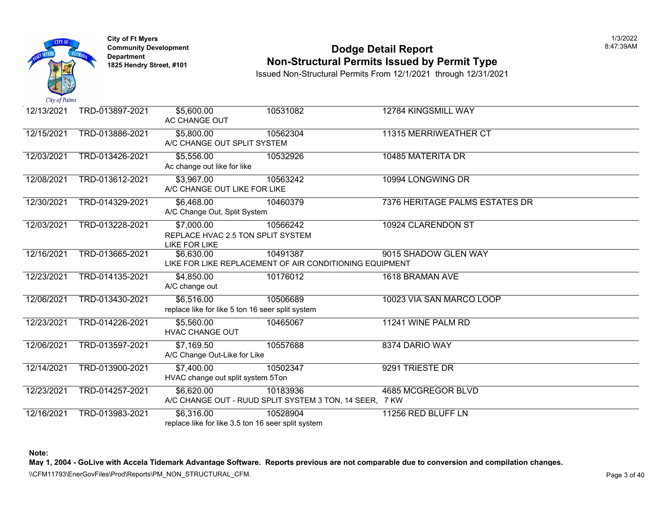

## **Community Development Community Development Dodge Detail Report Non-Structural Permits Issued by Permit Type**

Issued Non-Structural Permits From 12/1/2021 through 12/31/2021

| 12/13/2021 | TRD-013897-2021 | \$5,600.00<br>AC CHANGE OUT                                             | 10531082                                                            | 12784 KINGSMILL WAY         |
|------------|-----------------|-------------------------------------------------------------------------|---------------------------------------------------------------------|-----------------------------|
| 12/15/2021 | TRD-013886-2021 | \$5,800.00<br>A/C CHANGE OUT SPLIT SYSTEM                               | 10562304                                                            | 11315 MERRIWEATHER CT       |
| 12/03/2021 | TRD-013426-2021 | \$5,556.00<br>Ac change out like for like                               | 10532926                                                            | 10485 MATERITA DR           |
| 12/08/2021 | TRD-013612-2021 | \$3,967.00<br>A/C CHANGE OUT LIKE FOR LIKE                              | 10563242                                                            | 10994 LONGWING DR           |
| 12/30/2021 | TRD-014329-2021 | \$6,468.00<br>A/C Change Out, Split System                              | 10460379                                                            | 7376 HERITAGE PALMS ESTATES |
| 12/03/2021 | TRD-013228-2021 | \$7,000.00<br>REPLACE HVAC 2.5 TON SPLIT SYSTEM<br><b>LIKE FOR LIKE</b> | 10566242                                                            | 10924 CLARENDON ST          |
| 12/16/2021 | TRD-013665-2021 | \$6,630.00                                                              | 10491387<br>LIKE FOR LIKE REPLACEMENT OF AIR CONDITIONING EQUIPMENT | 9015 SHADOW GLEN WAY        |
| 12/23/2021 | TRD-014135-2021 | \$4,850.00<br>A/C change out                                            | 10176012                                                            | 1618 BRAMAN AVE             |
| 12/06/2021 | TRD-013430-2021 | \$6,516.00<br>replace like for like 5 ton 16 seer split system          | 10506689                                                            | 10023 VIA SAN MARCO LOOP    |
| 12/23/2021 | TRD-014226-2021 | \$5,560.00<br><b>HVAC CHANGE OUT</b>                                    | 10465067                                                            | 11241 WINE PALM RD          |
| 12/06/2021 | TRD-013597-2021 | \$7,169.50<br>A/C Change Out-Like for Like                              | 10557688                                                            | 8374 DARIO WAY              |
| 12/14/2021 | TRD-013900-2021 | \$7,400.00<br>HVAC change out split system 5Ton                         | 10502347                                                            | 9291 TRIESTE DR             |
| 12/23/2021 | TRD-014257-2021 | \$6,620.00                                                              | 10183936<br>A/C CHANGE OUT - RUUD SPLIT SYSTEM 3 TON, 14 SEER, 7 KW | 4685 MCGREGOR BLVD          |
| 12/16/2021 | TRD-013983-2021 | \$6,316.00<br>replace like for like 3.5 ton 16 seer split system        | 10528904                                                            | 11256 RED BLUFF LN          |

**Note:**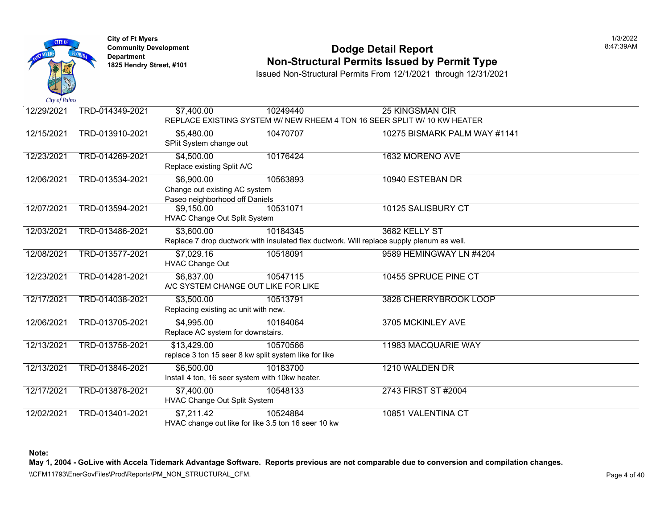

## **Community Development Community Development Community Development Non-Structural Permits Issued by Permit Type**

Issued Non-Structural Permits From 12/1/2021 through 12/31/2021

| 12/29/2021 | TRD-014349-2021 | \$7,400.00                           | 10249440                                                                                  | 25 KINGSMAN CIR                                                          |
|------------|-----------------|--------------------------------------|-------------------------------------------------------------------------------------------|--------------------------------------------------------------------------|
|            |                 |                                      |                                                                                           | REPLACE EXISTING SYSTEM W/ NEW RHEEM 4 TON 16 SEER SPLIT W/ 10 KW HEATER |
| 12/15/2021 | TRD-013910-2021 | \$5,480.00                           | 10470707                                                                                  | 10275 BISMARK PALM WAY #1141                                             |
|            |                 | SPlit System change out              |                                                                                           |                                                                          |
| 12/23/2021 | TRD-014269-2021 | \$4,500.00                           | 10176424                                                                                  | 1632 MORENO AVE                                                          |
|            |                 | Replace existing Split A/C           |                                                                                           |                                                                          |
| 12/06/2021 | TRD-013534-2021 | \$6,900.00                           | 10563893                                                                                  | 10940 ESTEBAN DR                                                         |
|            |                 | Change out existing AC system        |                                                                                           |                                                                          |
|            |                 | Paseo neighborhood off Daniels       |                                                                                           |                                                                          |
| 12/07/2021 | TRD-013594-2021 | \$9,150.00                           | 10531071                                                                                  | 10125 SALISBURY CT                                                       |
|            |                 | HVAC Change Out Split System         |                                                                                           |                                                                          |
| 12/03/2021 | TRD-013486-2021 | \$3,600.00                           | 10184345                                                                                  | 3682 KELLY ST                                                            |
|            |                 |                                      | Replace 7 drop ductwork with insulated flex ductwork. Will replace supply plenum as well. |                                                                          |
| 12/08/2021 | TRD-013577-2021 | \$7,029.16                           | 10518091                                                                                  | 9589 HEMINGWAY LN #4204                                                  |
|            |                 | <b>HVAC Change Out</b>               |                                                                                           |                                                                          |
| 12/23/2021 | TRD-014281-2021 | \$6,837.00                           | 10547115                                                                                  | 10455 SPRUCE PINE CT                                                     |
|            |                 |                                      | A/C SYSTEM CHANGE OUT LIKE FOR LIKE                                                       |                                                                          |
| 12/17/2021 | TRD-014038-2021 | \$3,500.00                           | 10513791                                                                                  | 3828 CHERRYBROOK LOOP                                                    |
|            |                 | Replacing existing ac unit with new. |                                                                                           |                                                                          |
| 12/06/2021 | TRD-013705-2021 | \$4,995.00                           | 10184064                                                                                  | 3705 MCKINLEY AVE                                                        |
|            |                 | Replace AC system for downstairs.    |                                                                                           |                                                                          |
| 12/13/2021 | TRD-013758-2021 | \$13,429.00                          | 10570566                                                                                  | 11983 MACQUARIE WAY                                                      |
|            |                 |                                      | replace 3 ton 15 seer 8 kw split system like for like                                     |                                                                          |
| 12/13/2021 | TRD-013846-2021 | \$6,500.00                           | 10183700                                                                                  | 1210 WALDEN DR                                                           |
|            |                 |                                      | Install 4 ton, 16 seer system with 10kw heater.                                           |                                                                          |
| 12/17/2021 | TRD-013878-2021 | $\overline{$7,400.00}$               | 10548133                                                                                  | 2743 FIRST ST #2004                                                      |
|            |                 | HVAC Change Out Split System         |                                                                                           |                                                                          |
| 12/02/2021 | TRD-013401-2021 | \$7,211.42                           | 10524884                                                                                  | 10851 VALENTINA CT                                                       |
|            |                 |                                      | HVAC change out like for like 3.5 ton 16 seer 10 kw                                       |                                                                          |

**Note:**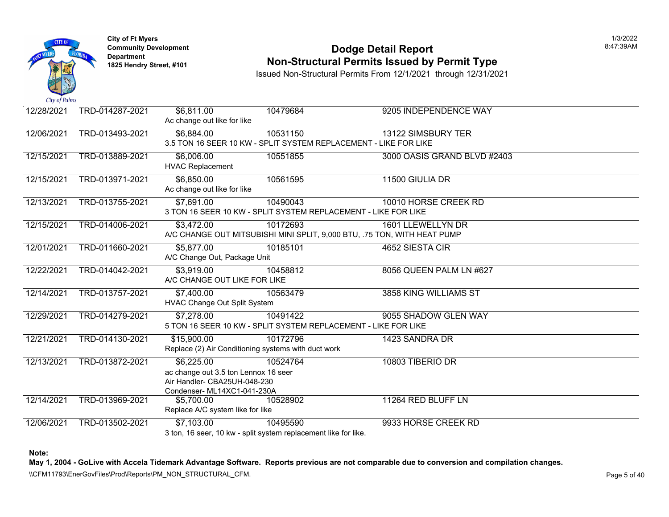

### **Community Development Community Development Community Development Non-Structural Permits Issued by Permit Type**

Issued Non-Structural Permits From 12/1/2021 through 12/31/2021

| 12/28/2021 | TRD-014287-2021 | \$6,811.00<br>Ac change out like for like | 10479684                                                                 | 9205 INDEPENDENCE WAY       |
|------------|-----------------|-------------------------------------------|--------------------------------------------------------------------------|-----------------------------|
| 12/06/2021 | TRD-013493-2021 | \$6,884.00                                | 10531150                                                                 | 13122 SIMSBURY TER          |
|            |                 |                                           | 3.5 TON 16 SEER 10 KW - SPLIT SYSTEM REPLACEMENT - LIKE FOR LIKE         |                             |
| 12/15/2021 | TRD-013889-2021 | \$6,006.00                                | 10551855                                                                 | 3000 OASIS GRAND BLVD #2403 |
|            |                 | <b>HVAC Replacement</b>                   |                                                                          |                             |
| 12/15/2021 | TRD-013971-2021 | \$6,850.00                                | 10561595                                                                 | 11500 GIULIA DR             |
|            |                 | Ac change out like for like               |                                                                          |                             |
| 12/13/2021 | TRD-013755-2021 | \$7,691.00                                | 10490043                                                                 | 10010 HORSE CREEK RD        |
|            |                 |                                           | 3 TON 16 SEER 10 KW - SPLIT SYSTEM REPLACEMENT - LIKE FOR LIKE           |                             |
| 12/15/2021 | TRD-014006-2021 | \$3,472.00                                | 10172693                                                                 | 1601 LLEWELLYN DR           |
|            |                 |                                           | A/C CHANGE OUT MITSUBISHI MINI SPLIT, 9,000 BTU, .75 TON, WITH HEAT PUMP |                             |
| 12/01/2021 | TRD-011660-2021 | \$5,877.00                                | 10185101                                                                 | 4652 SIESTA CIR             |
|            |                 | A/C Change Out, Package Unit              |                                                                          |                             |
| 12/22/2021 | TRD-014042-2021 | \$3,919.00                                | 10458812                                                                 | 8056 QUEEN PALM LN #627     |
|            |                 | A/C CHANGE OUT LIKE FOR LIKE              |                                                                          |                             |
| 12/14/2021 | TRD-013757-2021 | \$7,400.00                                | 10563479                                                                 | 3858 KING WILLIAMS ST       |
|            |                 | HVAC Change Out Split System              |                                                                          |                             |
| 12/29/2021 | TRD-014279-2021 | \$7,278.00                                | 10491422                                                                 | 9055 SHADOW GLEN WAY        |
|            |                 |                                           | 5 TON 16 SEER 10 KW - SPLIT SYSTEM REPLACEMENT - LIKE FOR LIKE           |                             |
| 12/21/2021 | TRD-014130-2021 | \$15,900.00                               | 10172796                                                                 | 1423 SANDRA DR              |
|            |                 |                                           | Replace (2) Air Conditioning systems with duct work                      |                             |
| 12/13/2021 | TRD-013872-2021 | \$6,225.00                                | 10524764                                                                 | 10803 TIBERIO DR            |
|            |                 | ac change out 3.5 ton Lennox 16 seer      |                                                                          |                             |
|            |                 | Air Handler- CBA25UH-048-230              |                                                                          |                             |
| 12/14/2021 | TRD-013969-2021 | Condenser-ML14XC1-041-230A<br>\$5,700.00  | 10528902                                                                 | 11264 RED BLUFF LN          |
|            |                 | Replace A/C system like for like          |                                                                          |                             |
| 12/06/2021 | TRD-013502-2021 | \$7,103.00                                | 10495590                                                                 | 9933 HORSE CREEK RD         |
|            |                 |                                           | 3 ton, 16 seer, 10 kw - split system replacement like for like.          |                             |
|            |                 |                                           |                                                                          |                             |

**Note:**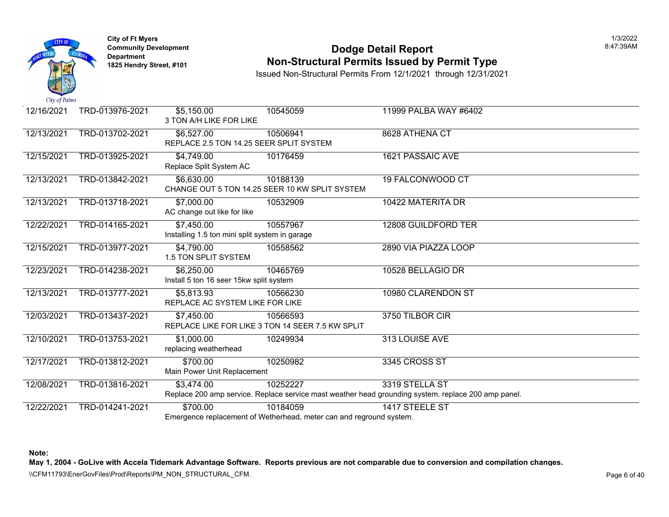

## **Community Development Community Development Dodge Detail Report Non-Structural Permits Issued by Permit Type**

Issued Non-Structural Permits From 12/1/2021 through 12/31/2021

| 12/16/2021 | TRD-013976-2021 | \$5,150.00<br>3 TON A/H LIKE FOR LIKE                        | 10545059                                                                        | 11999 PALBA WAY #6402                                                                                               |
|------------|-----------------|--------------------------------------------------------------|---------------------------------------------------------------------------------|---------------------------------------------------------------------------------------------------------------------|
| 12/13/2021 | TRD-013702-2021 | \$6,527.00<br>REPLACE 2.5 TON 14.25 SEER SPLIT SYSTEM        | 10506941                                                                        | 8628 ATHENA CT                                                                                                      |
| 12/15/2021 | TRD-013925-2021 | \$4,749.00<br>Replace Split System AC                        | 10176459                                                                        | <b>1621 PASSAIC AVE</b>                                                                                             |
| 12/13/2021 | TRD-013842-2021 | \$6,630.00                                                   | 10188139<br>CHANGE OUT 5 TON 14.25 SEER 10 KW SPLIT SYSTEM                      | 19 FALCONWOOD CT                                                                                                    |
| 12/13/2021 | TRD-013718-2021 | \$7,000.00<br>AC change out like for like                    | 10532909                                                                        | 10422 MATERITA DR                                                                                                   |
| 12/22/2021 | TRD-014165-2021 | \$7,450.00<br>Installing 1.5 ton mini split system in garage | 10557967                                                                        | 12808 GUILDFORD TER                                                                                                 |
| 12/15/2021 | TRD-013977-2021 | \$4,790.00<br>1.5 TON SPLIT SYSTEM                           | 10558562                                                                        | 2890 VIA PIAZZA LOOP                                                                                                |
| 12/23/2021 | TRD-014238-2021 | \$6,250.00<br>Install 5 ton 16 seer 15kw split system        | 10465769                                                                        | 10528 BELLAGIO DR                                                                                                   |
| 12/13/2021 | TRD-013777-2021 | \$5,813.93<br>REPLACE AC SYSTEM LIKE FOR LIKE                | 10566230                                                                        | 10980 CLARENDON ST                                                                                                  |
| 12/03/2021 | TRD-013437-2021 | \$7,450.00                                                   | 10566593<br>REPLACE LIKE FOR LIKE 3 TON 14 SEER 7.5 KW SPLIT                    | 3750 TILBOR CIR                                                                                                     |
| 12/10/2021 | TRD-013753-2021 | \$1,000.00<br>replacing weatherhead                          | 10249934                                                                        | 313 LOUISE AVE                                                                                                      |
| 12/17/2021 | TRD-013812-2021 | \$700.00<br>Main Power Unit Replacement                      | 10250982                                                                        | 3345 CROSS ST                                                                                                       |
| 12/08/2021 | TRD-013816-2021 | \$3,474.00                                                   | 10252227                                                                        | 3319 STELLA ST<br>Replace 200 amp service. Replace service mast weather head grounding system. replace 200 amp pane |
| 12/22/2021 | TRD-014241-2021 | \$700.00                                                     | 10184059<br>Emergence replacement of Wetherhead, meter can and reground system. | 1417 STEELE ST                                                                                                      |

**Note:**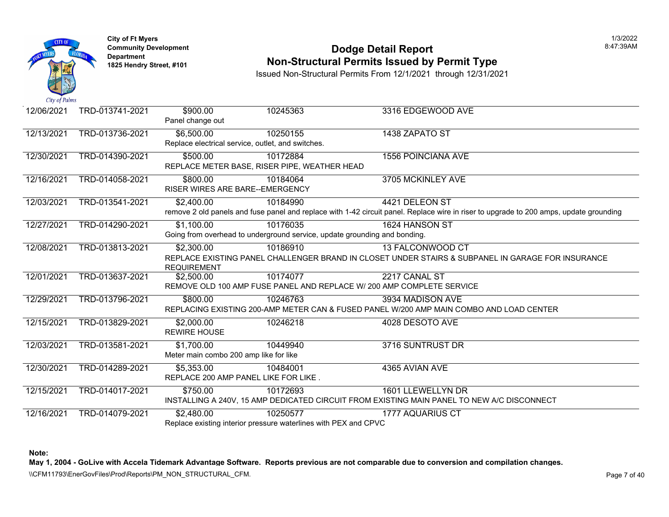

## **Community Development Community Development Community Development Non-Structural Permits Issued by Permit Type**

Issued Non-Structural Permits From 12/1/2021 through 12/31/2021

| 12/06/2021 | TRD-013741-2021 | \$900.00<br>Panel change out                         | 10245363                                                                              | 3316 EDGEWOOD AVE                                                                                                          |
|------------|-----------------|------------------------------------------------------|---------------------------------------------------------------------------------------|----------------------------------------------------------------------------------------------------------------------------|
| 12/13/2021 | TRD-013736-2021 | $\overline{$6,500.00}$                               | 10250155<br>Replace electrical service, outlet, and switches.                         | 1438 ZAPATO ST                                                                                                             |
| 12/30/2021 | TRD-014390-2021 | \$500.00                                             | 10172884<br>REPLACE METER BASE, RISER PIPE, WEATHER HEAD                              | <b>1556 POINCIANA AVE</b>                                                                                                  |
| 12/16/2021 | TRD-014058-2021 | \$800.00<br><b>RISER WIRES ARE BARE--EMERGENCY</b>   | 10184064                                                                              | 3705 MCKINLEY AVE                                                                                                          |
| 12/03/2021 | TRD-013541-2021 | \$2,400.00                                           | 10184990                                                                              | 4421 DELEON ST<br>remove 2 old panels and fuse panel and replace with 1-42 circuit panel. Replace wire in riser to upgrade |
| 12/27/2021 | TRD-014290-2021 | \$1,100.00                                           | 10176035<br>Going from overhead to underground service, update grounding and bonding. | 1624 HANSON ST                                                                                                             |
| 12/08/2021 | TRD-013813-2021 | \$2,300.00<br><b>REQUIREMENT</b>                     | 10186910                                                                              | <b>13 FALCONWOOD CT</b><br>REPLACE EXISTING PANEL CHALLENGER BRAND IN CLOSET UNDER STAIRS & SUBPANEL IN G.                 |
| 12/01/2021 | TRD-013637-2021 | \$2,500.00                                           | 10174077                                                                              | 2217 CANAL ST<br>REMOVE OLD 100 AMP FUSE PANEL AND REPLACE W/ 200 AMP COMPLETE SERVICE                                     |
| 12/29/2021 | TRD-013796-2021 | \$800.00                                             | 10246763                                                                              | 3934 MADISON AVE<br>REPLACING EXISTING 200-AMP METER CAN & FUSED PANEL W/200 AMP MAIN COMBO AND LOA                        |
| 12/15/2021 | TRD-013829-2021 | \$2,000.00<br><b>REWIRE HOUSE</b>                    | 10246218                                                                              | 4028 DESOTO AVE                                                                                                            |
| 12/03/2021 | TRD-013581-2021 | \$1,700.00<br>Meter main combo 200 amp like for like | 10449940                                                                              | 3716 SUNTRUST DR                                                                                                           |
| 12/30/2021 | TRD-014289-2021 | \$5,353.00                                           | 10484001<br>REPLACE 200 AMP PANEL LIKE FOR LIKE.                                      | 4365 AVIAN AVE                                                                                                             |
| 12/15/2021 | TRD-014017-2021 | \$750.00                                             | 10172693                                                                              | 1601 LLEWELLYN DR<br>INSTALLING A 240V, 15 AMP DEDICATED CIRCUIT FROM EXISTING MAIN PANEL TO NEW A/C DIS                   |
| 12/16/2021 | TRD-014079-2021 | \$2,480.00                                           | 10250577<br>Replace existing interior pressure waterlines with PEX and CPVC           | 1777 AQUARIUS CT                                                                                                           |

**Note:**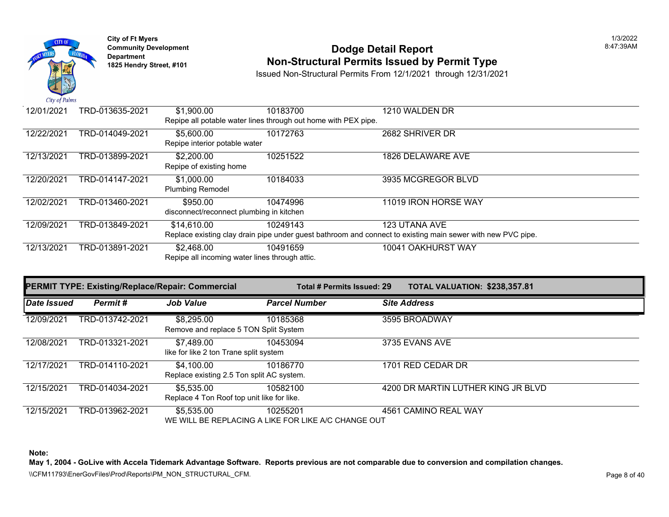

## **Community Development 18:47:39AM**<br>
Dodge Detail Report **Non-Structural Permits Issued by Permit Type** 1825 Hendry Street, #101 **1825 Hendry Street, #101**

Issued Non-Structural Permits From 12/1/2021 through 12/31/2021

| 12/01/2021 | TRD-013635-2021 | \$1,900.00                                     | 10183700                                                       | 1210 WALDEN DR                                                                                              |
|------------|-----------------|------------------------------------------------|----------------------------------------------------------------|-------------------------------------------------------------------------------------------------------------|
|            |                 |                                                | Repipe all potable water lines through out home with PEX pipe. |                                                                                                             |
| 12/22/2021 | TRD-014049-2021 | \$5,600.00                                     | 10172763                                                       | 2682 SHRIVER DR                                                                                             |
|            |                 | Repipe interior potable water                  |                                                                |                                                                                                             |
| 12/13/2021 | TRD-013899-2021 | \$2,200.00                                     | 10251522                                                       | 1826 DELAWARE AVE                                                                                           |
|            |                 | Repipe of existing home                        |                                                                |                                                                                                             |
| 12/20/2021 | TRD-014147-2021 | \$1,000.00                                     | 10184033                                                       | 3935 MCGREGOR BLVD                                                                                          |
|            |                 | <b>Plumbing Remodel</b>                        |                                                                |                                                                                                             |
| 12/02/2021 | TRD-013460-2021 | \$950.00                                       | 10474996                                                       | 11019 IRON HORSE WAY                                                                                        |
|            |                 | disconnect/reconnect plumbing in kitchen       |                                                                |                                                                                                             |
| 12/09/2021 | TRD-013849-2021 | \$14,610.00                                    | 10249143                                                       | 123 UTANA AVE                                                                                               |
|            |                 |                                                |                                                                | Replace existing clay drain pipe under guest bathroom and connect to existing main sewer with new PVC pipe. |
| 12/13/2021 | TRD-013891-2021 | \$2,468.00                                     | 10491659                                                       | 10041 OAKHURST WAY                                                                                          |
|            |                 | Repipe all incoming water lines through attic. |                                                                |                                                                                                             |

|             | <b>PERMIT TYPE: Existing/Replace/Repair: Commercial</b> |                                                          | Total # Permits Issued: 29                                      | TOTAL VALUATION: \$238,357.81      |
|-------------|---------------------------------------------------------|----------------------------------------------------------|-----------------------------------------------------------------|------------------------------------|
| Date Issued | Permit#                                                 | <b>Job Value</b>                                         | <b>Parcel Number</b>                                            | <b>Site Address</b>                |
| 12/09/2021  | TRD-013742-2021                                         | \$8,295.00<br>Remove and replace 5 TON Split System      | 10185368                                                        | 3595 BROADWAY                      |
| 12/08/2021  | TRD-013321-2021                                         | \$7,489.00<br>like for like 2 ton Trane split system     | 10453094                                                        | 3735 EVANS AVE                     |
| 12/17/2021  | TRD-014110-2021                                         | \$4,100.00<br>Replace existing 2.5 Ton split AC system.  | 10186770                                                        | 1701 RED CEDAR DR                  |
| 12/15/2021  | TRD-014034-2021                                         | \$5,535.00<br>Replace 4 Ton Roof top unit like for like. | 10582100                                                        | 4200 DR MARTIN LUTHER KING JR BLVD |
| 12/15/2021  | TRD-013962-2021                                         | \$5,535.00                                               | 10255201<br>WE WILL BE REPLACING A LIKE FOR LIKE A/C CHANGE OUT | 4561 CAMINO REAL WAY               |

**Note:** 

**May 1, 2004 - GoLive with Accela Tidemark Advantage Software. Reports previous are not comparable due to conversion and compilation changes.** 

\\CFM11793\EnerGovFiles\Prod\Reports\PM\_NON\_STRUCTURAL\_CFM.<br>Page 8 of 40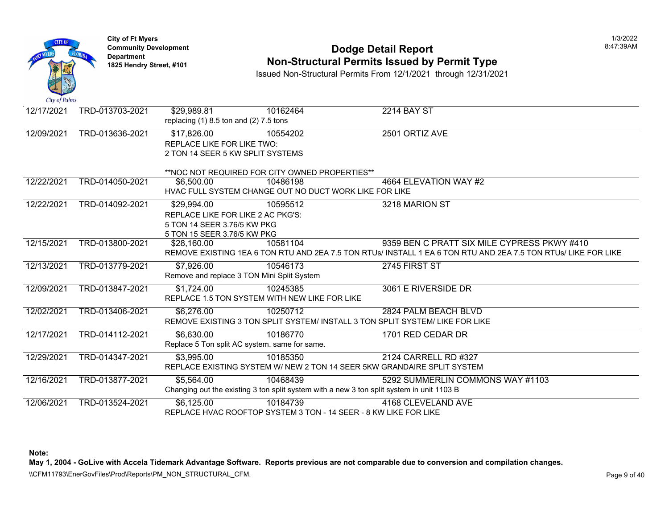

#### **Community Development** 8:47:39AM **Non-Structural Permits Issued by Permit Type**

Issued Non-Structural Permits From 12/1/2021 through 12/31/2021

| City of Paints |                 |                                            |                                                                  |                                                                                                                |
|----------------|-----------------|--------------------------------------------|------------------------------------------------------------------|----------------------------------------------------------------------------------------------------------------|
| 12/17/2021     | TRD-013703-2021 | \$29,989.81                                | 10162464                                                         | <b>2214 BAY ST</b>                                                                                             |
|                |                 | replacing $(1)$ 8.5 ton and $(2)$ 7.5 tons |                                                                  |                                                                                                                |
| 12/09/2021     | TRD-013636-2021 | \$17,826.00                                | 10554202                                                         | 2501 ORTIZ AVE                                                                                                 |
|                |                 | REPLACE LIKE FOR LIKE TWO:                 |                                                                  |                                                                                                                |
|                |                 | 2 TON 14 SEER 5 KW SPLIT SYSTEMS           |                                                                  |                                                                                                                |
|                |                 |                                            |                                                                  |                                                                                                                |
|                |                 |                                            | **NOC NOT REQUIRED FOR CITY OWNED PROPERTIES**                   |                                                                                                                |
| 12/22/2021     | TRD-014050-2021 | \$6,500.00                                 | 10486198                                                         | 4664 ELEVATION WAY #2                                                                                          |
|                |                 |                                            | HVAC FULL SYSTEM CHANGE OUT NO DUCT WORK LIKE FOR LIKE           |                                                                                                                |
| 12/22/2021     | TRD-014092-2021 | \$29,994.00                                | 10595512                                                         | 3218 MARION ST                                                                                                 |
|                |                 | REPLACE LIKE FOR LIKE 2 AC PKG'S:          |                                                                  |                                                                                                                |
|                |                 | 5 TON 14 SEER 3.76/5 KW PKG                |                                                                  |                                                                                                                |
|                |                 | 5 TON 15 SEER 3.76/5 KW PKG                |                                                                  |                                                                                                                |
| 12/15/2021     | TRD-013800-2021 | \$28,160.00                                | 10581104                                                         | 9359 BEN C PRATT SIX MILE CYPRESS PKWY #410                                                                    |
|                |                 |                                            |                                                                  | REMOVE EXISTING 1EA 6 TON RTU AND 2EA 7.5 TON RTUs/ INSTALL 1 EA 6 TON RTU AND 2EA 7.5 TON RTUS/ LIKE FOR LIKE |
| 12/13/2021     | TRD-013779-2021 | \$7,926.00                                 | 10546173                                                         | 2745 FIRST ST                                                                                                  |
|                |                 |                                            | Remove and replace 3 TON Mini Split System                       |                                                                                                                |
| 12/09/2021     | TRD-013847-2021 | \$1,724.00                                 | 10245385                                                         | 3061 E RIVERSIDE DR                                                                                            |
|                |                 |                                            | REPLACE 1.5 TON SYSTEM WITH NEW LIKE FOR LIKE                    |                                                                                                                |
| 12/02/2021     | TRD-013406-2021 | \$6,276.00                                 | 10250712                                                         | 2824 PALM BEACH BLVD                                                                                           |
|                |                 |                                            |                                                                  | REMOVE EXISTING 3 TON SPLIT SYSTEM/ INSTALL 3 TON SPLIT SYSTEM/ LIKE FOR LIKE                                  |
| 12/17/2021     | TRD-014112-2021 | \$6,630.00                                 | 10186770                                                         | 1701 RED CEDAR DR                                                                                              |
|                |                 |                                            | Replace 5 Ton split AC system. same for same.                    |                                                                                                                |
| 12/29/2021     | TRD-014347-2021 | \$3,995.00                                 | 10185350                                                         | 2124 CARRELL RD #327                                                                                           |
|                |                 |                                            |                                                                  | REPLACE EXISTING SYSTEM W/ NEW 2 TON 14 SEER 5KW GRANDAIRE SPLIT SYSTEM                                        |
|                |                 |                                            |                                                                  |                                                                                                                |
| 12/16/2021     | TRD-013877-2021 | \$5,564.00                                 | 10468439                                                         | 5292 SUMMERLIN COMMONS WAY #1103                                                                               |
|                |                 |                                            |                                                                  | Changing out the existing 3 ton split system with a new 3 ton split system in unit 1103 B                      |
| 12/06/2021     | TRD-013524-2021 | \$6,125.00                                 | 10184739                                                         | 4168 CLEVELAND AVE                                                                                             |
|                |                 |                                            | REPLACE HVAC ROOFTOP SYSTEM 3 TON - 14 SEER - 8 KW LIKE FOR LIKE |                                                                                                                |

**Note:** 

**May 1, 2004 - GoLive with Accela Tidemark Advantage Software. Reports previous are not comparable due to conversion and compilation changes.** 

\\CFM11793\EnerGovFiles\Prod\Reports\PM\_NON\_STRUCTURAL\_CFM.<br>Page 9 of 40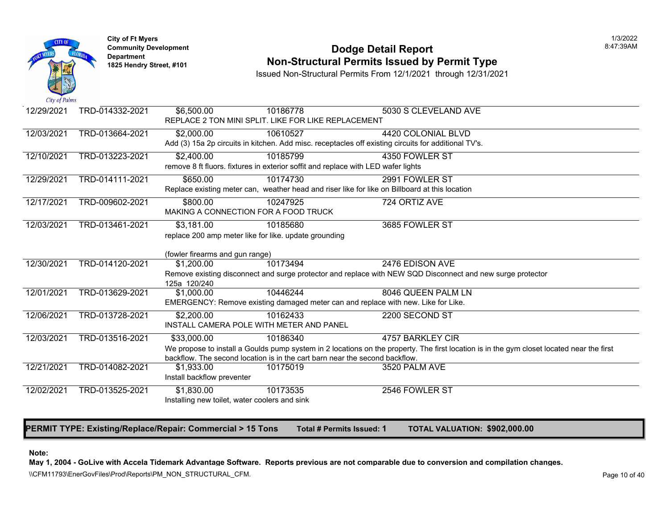

# **Community Development** 8:47:39AM **Dodge Detail Report Department Non-Structural Permits Issued by Permit Type 1825 Hendry Street, #101**

Issued Non-Structural Permits From 12/1/2021 through 12/31/2021

| $\mathcal{L}$ <i>uy of Lumis</i> |                 |                                               |                                                                                   |                                                                                                             |
|----------------------------------|-----------------|-----------------------------------------------|-----------------------------------------------------------------------------------|-------------------------------------------------------------------------------------------------------------|
| 12/29/2021                       | TRD-014332-2021 | \$6,500.00                                    | 10186778                                                                          | 5030 S CLEVELAND AVE                                                                                        |
|                                  |                 |                                               | REPLACE 2 TON MINI SPLIT. LIKE FOR LIKE REPLACEMENT                               |                                                                                                             |
| 12/03/2021                       | TRD-013664-2021 | \$2,000.00                                    | 10610527                                                                          | 4420 COLONIAL BLVD                                                                                          |
|                                  |                 |                                               |                                                                                   | Add (3) 15a 2p circuits in kitchen. Add misc. receptacles off existing circuits for additional TV's.        |
| 12/10/2021                       | TRD-013223-2021 | \$2,400.00                                    | 10185799                                                                          | 4350 FOWLER ST                                                                                              |
|                                  |                 |                                               | remove 8 ft fluors. fixtures in exterior soffit and replace with LED wafer lights |                                                                                                             |
| 12/29/2021                       | TRD-014111-2021 | \$650.00                                      | 10174730                                                                          | 2991 FOWLER ST                                                                                              |
|                                  |                 |                                               |                                                                                   | Replace existing meter can, weather head and riser like for like on Billboard at this location              |
| 12/17/2021                       | TRD-009602-2021 | \$800.00                                      | 10247925                                                                          | 724 ORTIZ AVE                                                                                               |
|                                  |                 |                                               | MAKING A CONNECTION FOR A FOOD TRUCK                                              |                                                                                                             |
| 12/03/2021                       | TRD-013461-2021 | \$3,181.00                                    | 10185680                                                                          | 3685 FOWLER ST                                                                                              |
|                                  |                 |                                               | replace 200 amp meter like for like. update grounding                             |                                                                                                             |
|                                  |                 |                                               |                                                                                   |                                                                                                             |
| 12/30/2021                       | TRD-014120-2021 | (fowler firearms and gun range)               | 10173494                                                                          | 2476 EDISON AVE                                                                                             |
|                                  |                 | \$1,200.00                                    |                                                                                   | Remove existing disconnect and surge protector and replace with NEW SQD Disconnect and new surge            |
|                                  |                 | 125a 120/240                                  |                                                                                   |                                                                                                             |
| 12/01/2021                       | TRD-013629-2021 | \$1,000.00                                    | 10446244                                                                          | 8046 QUEEN PALM LN                                                                                          |
|                                  |                 |                                               |                                                                                   | EMERGENCY: Remove existing damaged meter can and replace with new. Like for Like.                           |
| 12/06/2021                       | TRD-013728-2021 | \$2,200.00                                    | 10162433                                                                          | 2200 SECOND ST                                                                                              |
|                                  |                 |                                               | INSTALL CAMERA POLE WITH METER AND PANEL                                          |                                                                                                             |
| 12/03/2021                       | TRD-013516-2021 | \$33,000.00                                   | 10186340                                                                          | 4757 BARKLEY CIR                                                                                            |
|                                  |                 |                                               |                                                                                   | We propose to install a Goulds pump system in 2 locations on the property. The first location is in the gyr |
|                                  |                 |                                               | backflow. The second location is in the cart barn near the second backflow.       |                                                                                                             |
| 12/21/2021                       | TRD-014082-2021 | \$1,933.00                                    | 10175019                                                                          | 3520 PALM AVE                                                                                               |
|                                  |                 | Install backflow preventer                    |                                                                                   |                                                                                                             |
| 12/02/2021                       | TRD-013525-2021 | \$1,830.00                                    | 10173535                                                                          | 2546 FOWLER ST                                                                                              |
|                                  |                 | Installing new toilet, water coolers and sink |                                                                                   |                                                                                                             |
|                                  |                 |                                               |                                                                                   |                                                                                                             |

**PERMIT TYPE: Existing/Replace/Repair: Commercial > 15 Tons Total # Permits Issued: 1 TOTAL VALUATION: \$902,000.00** 

#### **Note:**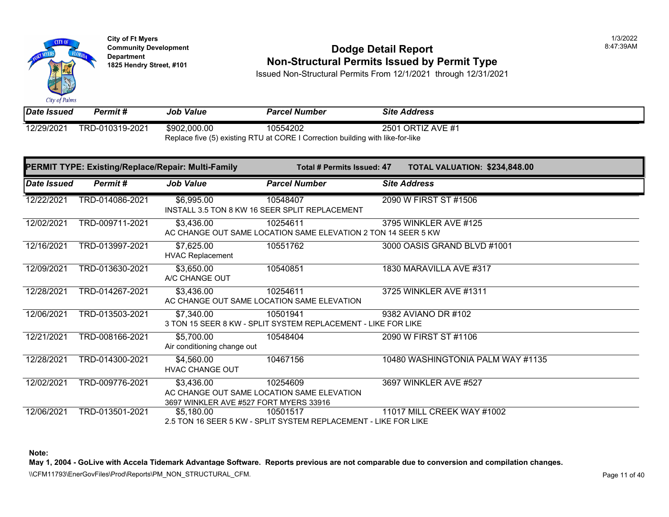City of Palms

**City of Ft Myers** 1/3/2022

## **Community Development 18:47:39AM**<br>
Dodge Detail Report **Non-Structural Permits Issued by Permit Type** 1825 Hendry Street, #101 **1825 Hendry Street, #101**

Issued Non-Structural Permits From 12/1/2021 through 12/31/2021

*Date Issued Permit # Job Value Parcel Number Site Address*  12/29/2021 TRD-010319-2021 \$902,000.00 10554202 2501 ORTIZ AVE #1

Replace five (5) existing RTU at CORE I Correction building with like-for-like

| PERMIT TYPE: Existing/Replace/Repair: Multi-Family |                 |                                                      | Total # Permits Issued: 47                                                  |  | TOTAL VALUATION: \$234,848.00     |  |
|----------------------------------------------------|-----------------|------------------------------------------------------|-----------------------------------------------------------------------------|--|-----------------------------------|--|
| <b>Date Issued</b>                                 | <b>Permit#</b>  | <b>Job Value</b>                                     | <b>Parcel Number</b>                                                        |  | <b>Site Address</b>               |  |
| 12/22/2021                                         | TRD-014086-2021 | \$6,995.00                                           | 10548407<br>INSTALL 3.5 TON 8 KW 16 SEER SPLIT REPLACEMENT                  |  | 2090 W FIRST ST #1506             |  |
| 12/02/2021                                         | TRD-009711-2021 | \$3,436.00                                           | 10254611<br>AC CHANGE OUT SAME LOCATION SAME ELEVATION 2 TON 14 SEER 5 KW   |  | 3795 WINKLER AVE #125             |  |
| 12/16/2021                                         | TRD-013997-2021 | \$7,625.00<br><b>HVAC Replacement</b>                | 10551762                                                                    |  | 3000 OASIS GRAND BLVD #1001       |  |
| 12/09/2021                                         | TRD-013630-2021 | \$3,650.00<br>A/C CHANGE OUT                         | 10540851                                                                    |  | 1830 MARAVILLA AVE #317           |  |
| 12/28/2021                                         | TRD-014267-2021 | \$3,436.00                                           | 10254611<br>AC CHANGE OUT SAME LOCATION SAME ELEVATION                      |  | 3725 WINKLER AVE #1311            |  |
| 12/06/2021                                         | TRD-013503-2021 | \$7,340.00                                           | 10501941<br>3 TON 15 SEER 8 KW - SPLIT SYSTEM REPLACEMENT - LIKE FOR LIKE   |  | 9382 AVIANO DR #102               |  |
| 12/21/2021                                         | TRD-008166-2021 | \$5,700.00<br>Air conditioning change out            | 10548404                                                                    |  | 2090 W FIRST ST #1106             |  |
| 12/28/2021                                         | TRD-014300-2021 | \$4,560.00<br><b>HVAC CHANGE OUT</b>                 | 10467156                                                                    |  | 10480 WASHINGTONIA PALM WAY #1135 |  |
| 12/02/2021                                         | TRD-009776-2021 | \$3,436.00<br>3697 WINKLER AVE #527 FORT MYERS 33916 | 10254609<br>AC CHANGE OUT SAME LOCATION SAME ELEVATION                      |  | 3697 WINKLER AVE #527             |  |
| 12/06/2021                                         | TRD-013501-2021 | \$5,180.00                                           | 10501517<br>2.5 TON 16 SEER 5 KW - SPLIT SYSTEM REPLACEMENT - LIKE FOR LIKE |  | 11017 MILL CREEK WAY #1002        |  |

**Note:** 

**May 1, 2004 - GoLive with Accela Tidemark Advantage Software. Reports previous are not comparable due to conversion and compilation changes.** 

\\CFM11793\EnerGovFiles\Prod\Reports\PM\_NON\_STRUCTURAL\_CFM.<br>Rage 11 of 40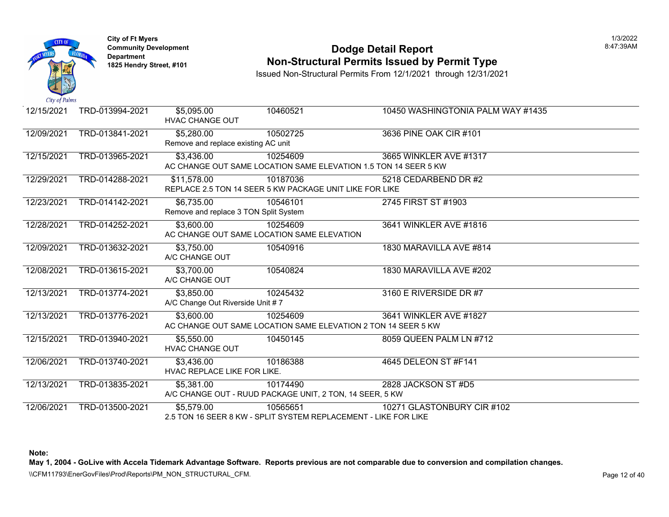

### **Community Development Community Development Community Development Non-Structural Permits Issued by Permit Type**

Issued Non-Structural Permits From 12/1/2021 through 12/31/2021

| 12/15/2021 | TRD-013994-2021 | \$5,095.00<br><b>HVAC CHANGE OUT</b>                          | 10460521                                                             | 10450 WASHINGTONIA PALM WAY                                                                   |
|------------|-----------------|---------------------------------------------------------------|----------------------------------------------------------------------|-----------------------------------------------------------------------------------------------|
| 12/09/2021 | TRD-013841-2021 | $\overline{$}5,280.00$<br>Remove and replace existing AC unit | 10502725                                                             | 3636 PINE OAK CIR #101                                                                        |
| 12/15/2021 | TRD-013965-2021 | \$3,436.00                                                    | 10254609                                                             | 3665 WINKLER AVE #1317<br>AC CHANGE OUT SAME LOCATION SAME ELEVATION 1.5 TON 14 SEER 5 KW     |
| 12/29/2021 | TRD-014288-2021 | \$11,578.00                                                   | 10187036<br>REPLACE 2.5 TON 14 SEER 5 KW PACKAGE UNIT LIKE FOR LIKE  | 5218 CEDARBEND DR #2                                                                          |
| 12/23/2021 | TRD-014142-2021 | \$6,735.00<br>Remove and replace 3 TON Split System           | 10546101                                                             | 2745 FIRST ST #1903                                                                           |
| 12/28/2021 | TRD-014252-2021 | \$3,600.00                                                    | 10254609<br>AC CHANGE OUT SAME LOCATION SAME ELEVATION               | 3641 WINKLER AVE #1816                                                                        |
| 12/09/2021 | TRD-013632-2021 | \$3,750.00<br>A/C CHANGE OUT                                  | 10540916                                                             | 1830 MARAVILLA AVE #814                                                                       |
| 12/08/2021 | TRD-013615-2021 | \$3,700.00<br>A/C CHANGE OUT                                  | 10540824                                                             | 1830 MARAVILLA AVE #202                                                                       |
| 12/13/2021 | TRD-013774-2021 | \$3,850.00<br>A/C Change Out Riverside Unit #7                | 10245432                                                             | 3160 E RIVERSIDE DR #7                                                                        |
| 12/13/2021 | TRD-013776-2021 | \$3,600.00                                                    | 10254609                                                             | 3641 WINKLER AVE #1827<br>AC CHANGE OUT SAME LOCATION SAME ELEVATION 2 TON 14 SEER 5 KW       |
| 12/15/2021 | TRD-013940-2021 | \$5,550.00<br><b>HVAC CHANGE OUT</b>                          | 10450145                                                             | 8059 QUEEN PALM LN #712                                                                       |
| 12/06/2021 | TRD-013740-2021 | \$3,436.00<br>HVAC REPLACE LIKE FOR LIKE.                     | 10186388                                                             | 4645 DELEON ST #F141                                                                          |
| 12/13/2021 | TRD-013835-2021 | \$5,381.00                                                    | 10174490<br>A/C CHANGE OUT - RUUD PACKAGE UNIT, 2 TON, 14 SEER, 5 KW | 2828 JACKSON ST #D5                                                                           |
| 12/06/2021 | TRD-013500-2021 | \$5,579.00                                                    | 10565651                                                             | 10271 GLASTONBURY CIR #102<br>2.5 TON 16 SEER 8 KW - SPLIT SYSTEM REPLACEMENT - LIKE FOR LIKE |

**Note:**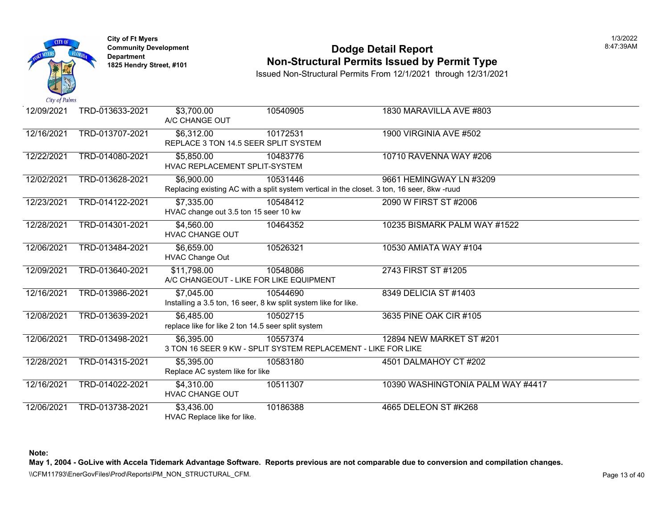

### **Community Development Community Development Dodge Detail Report Non-Structural Permits Issued by Permit Type**

Issued Non-Structural Permits From 12/1/2021 through 12/31/2021

| 12/09/2021 | TRD-013633-2021 | \$3,700.00<br>A/C CHANGE OUT                        | 10540905                                                                    | 1830 MARAVILLA AVE #803                                                                                                |
|------------|-----------------|-----------------------------------------------------|-----------------------------------------------------------------------------|------------------------------------------------------------------------------------------------------------------------|
| 12/16/2021 | TRD-013707-2021 | \$6,312.00<br>REPLACE 3 TON 14.5 SEER SPLIT SYSTEM  | 10172531                                                                    | <b>1900 VIRGINIA AVE #502</b>                                                                                          |
| 12/22/2021 | TRD-014080-2021 | \$5,850.00<br>HVAC REPLACEMENT SPLIT-SYSTEM         | 10483776                                                                    | 10710 RAVENNA WAY #206                                                                                                 |
| 12/02/2021 | TRD-013628-2021 | \$6,900.00                                          | 10531446                                                                    | 9661 HEMINGWAY LN #3209<br>Replacing existing AC with a split system vertical in the closet. 3 ton, 16 seer, 8kw -ruud |
| 12/23/2021 | TRD-014122-2021 | \$7,335.00<br>HVAC change out 3.5 ton 15 seer 10 kw | 10548412                                                                    | 2090 W FIRST ST #2006                                                                                                  |
| 12/28/2021 | TRD-014301-2021 | \$4,560.00<br><b>HVAC CHANGE OUT</b>                | 10464352                                                                    | 10235 BISMARK PALM WAY #1522                                                                                           |
| 12/06/2021 | TRD-013484-2021 | \$6,659.00<br><b>HVAC Change Out</b>                | 10526321                                                                    | 10530 AMIATA WAY #104                                                                                                  |
| 12/09/2021 | TRD-013640-2021 | \$11,798.00                                         | 10548086<br>A/C CHANGEOUT - LIKE FOR LIKE EQUIPMENT                         | 2743 FIRST ST #1205                                                                                                    |
| 12/16/2021 | TRD-013986-2021 | \$7,045.00                                          | 10544690<br>Installing a 3.5 ton, 16 seer, 8 kw split system like for like. | 8349 DELICIA ST #1403                                                                                                  |
| 12/08/2021 | TRD-013639-2021 | \$6,485.00                                          | 10502715<br>replace like for like 2 ton 14.5 seer split system              | 3635 PINE OAK CIR #105                                                                                                 |
| 12/06/2021 | TRD-013498-2021 | \$6,395.00                                          | 10557374<br>3 TON 16 SEER 9 KW - SPLIT SYSTEM REPLACEMENT - LIKE FOR LIKE   | 12894 NEW MARKET ST #201                                                                                               |
| 12/28/2021 | TRD-014315-2021 | \$5,395.00<br>Replace AC system like for like       | 10583180                                                                    | 4501 DALMAHOY CT #202                                                                                                  |
| 12/16/2021 | TRD-014022-2021 | \$4,310.00<br><b>HVAC CHANGE OUT</b>                | 10511307                                                                    | 10390 WASHINGTONIA PALM WAY                                                                                            |
| 12/06/2021 | TRD-013738-2021 | \$3,436.00<br>HVAC Replace like for like.           | 10186388                                                                    | 4665 DELEON ST #K268                                                                                                   |

**Note:**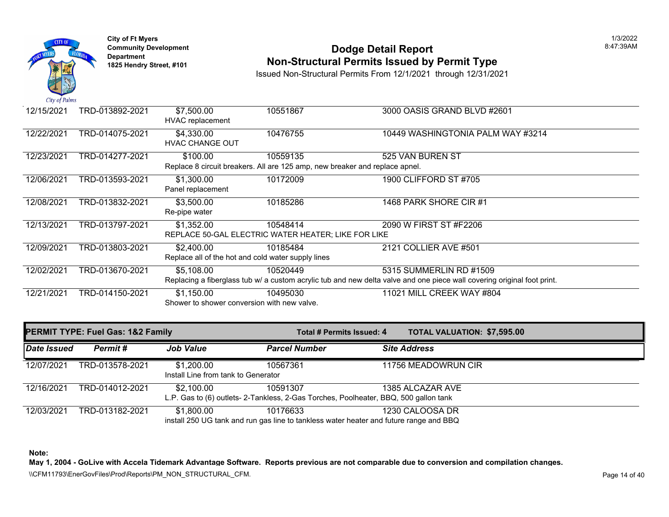

## **Community Development 18:47:39AM**<br>
Dodge Detail Report **Non-Structural Permits Issued by Permit Type** 1825 Hendry Street, #101 **1825 Hendry Street, #101**

Issued Non-Structural Permits From 12/1/2021 through 12/31/2021

| 12/15/2021 | TRD-013892-2021 | \$7,500.00<br>HVAC replacement                     | 10551867                                                                    | 3000 OASIS GRAND BLVD #2601                                                                                             |  |
|------------|-----------------|----------------------------------------------------|-----------------------------------------------------------------------------|-------------------------------------------------------------------------------------------------------------------------|--|
| 12/22/2021 | TRD-014075-2021 | \$4,330.00<br><b>HVAC CHANGE OUT</b>               | 10476755                                                                    | 10449 WASHINGTONIA PALM WAY #3214                                                                                       |  |
| 12/23/2021 | TRD-014277-2021 | \$100.00                                           | 10559135                                                                    | 525 VAN BUREN ST                                                                                                        |  |
|            |                 |                                                    | Replace 8 circuit breakers. All are 125 amp, new breaker and replace apnel. |                                                                                                                         |  |
| 12/06/2021 | TRD-013593-2021 | \$1,300.00<br>Panel replacement                    | 10172009                                                                    | 1900 CLIFFORD ST #705                                                                                                   |  |
| 12/08/2021 | TRD-013832-2021 | \$3,500.00<br>Re-pipe water                        | 10185286                                                                    | 1468 PARK SHORE CIR #1                                                                                                  |  |
| 12/13/2021 | TRD-013797-2021 | \$1,352.00                                         | 10548414                                                                    | 2090 W FIRST ST #F2206                                                                                                  |  |
|            |                 |                                                    | REPLACE 50-GAL ELECTRIC WATER HEATER; LIKE FOR LIKE                         |                                                                                                                         |  |
| 12/09/2021 | TRD-013803-2021 | \$2,400.00                                         | 10185484                                                                    | 2121 COLLIER AVE #501                                                                                                   |  |
|            |                 | Replace all of the hot and cold water supply lines |                                                                             |                                                                                                                         |  |
| 12/02/2021 | TRD-013670-2021 | \$5,108.00                                         | 10520449                                                                    | 5315 SUMMERLIN RD #1509                                                                                                 |  |
|            |                 |                                                    |                                                                             | Replacing a fiberglass tub w/ a custom acrylic tub and new delta valve and one piece wall covering original foot print. |  |
| 12/21/2021 | TRD-014150-2021 | \$1,150.00                                         | 10495030                                                                    | 11021 MILL CREEK WAY #804                                                                                               |  |
|            |                 | Shower to shower conversion with new valve.        |                                                                             |                                                                                                                         |  |

| <b>PERMIT TYPE: Fuel Gas: 1&amp;2 Family</b> |                 |                                                   | Total # Permits Issued: 4                                                                          | <b>TOTAL VALUATION: \$7,595.00</b> |
|----------------------------------------------|-----------------|---------------------------------------------------|----------------------------------------------------------------------------------------------------|------------------------------------|
| Date Issued                                  | Permit #        | <b>Job Value</b>                                  | <b>Parcel Number</b>                                                                               | <b>Site Address</b>                |
| 12/07/2021                                   | TRD-013578-2021 | \$1,200.00<br>Install Line from tank to Generator | 10567361                                                                                           | 11756 MEADOWRUN CIR                |
| 12/16/2021                                   | TRD-014012-2021 | \$2,100.00                                        | 10591307<br>L.P. Gas to (6) outlets- 2-Tankless, 2-Gas Torches, Poolheater, BBQ, 500 gallon tank   | 1385 ALCAZAR AVE                   |
| 12/03/2021                                   | TRD-013182-2021 | \$1,800.00                                        | 10176633<br>install 250 UG tank and run gas line to tankless water heater and future range and BBQ | 1230 CALOOSA DR                    |

**Note:** 

**May 1, 2004 - GoLive with Accela Tidemark Advantage Software. Reports previous are not comparable due to conversion and compilation changes.** 

\\CFM11793\EnerGovFiles\Prod\Reports\PM\_NON\_STRUCTURAL\_CFM.<br>Rage 14 of 40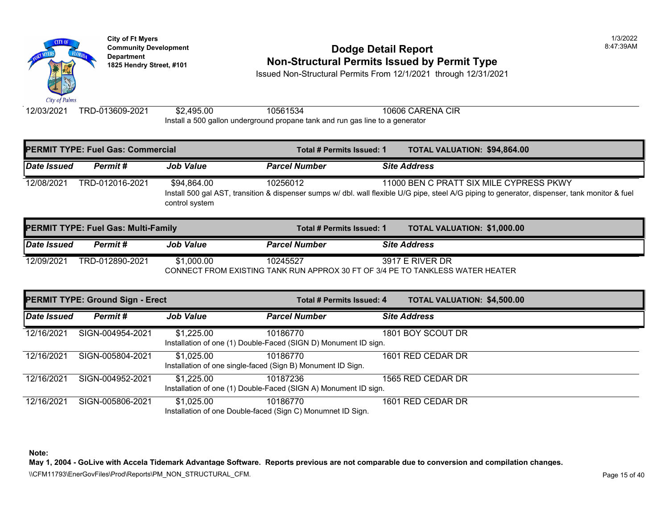

## **Community Development Community Development 1825 Hendry Street, #101** Non-Structural Permits Issued by Permit Type

Issued Non-Structural Permits From 12/1/2021 through 12/31/2021

12/03/2021 TRD-013609-2021 \$2,495.00 10561534 10606 CARENA CIR Install a 500 gallon underground propane tank and run gas line to a generator

|             | <b>PERMIT TYPE: Fuel Gas: Commercial</b>   |                               | Total # Permits Issued: 1 | <b>TOTAL VALUATION: \$94,864</b>                                                                                                               |
|-------------|--------------------------------------------|-------------------------------|---------------------------|------------------------------------------------------------------------------------------------------------------------------------------------|
| Date Issued | Permit#                                    | <b>Job Value</b>              | <b>Parcel Number</b>      | <b>Site Address</b>                                                                                                                            |
| 12/08/2021  | TRD-012016-2021                            | \$94,864.00<br>control system | 10256012                  | 11000 BEN C PRATT SIX MILE CY<br>Install 500 gal AST, transition & dispenser sumps w/ dbl. wall flexible U/G pipe, steel A/G piping to general |
|             | <b>PERMIT TYPE: Fuel Gas: Multi-Family</b> |                               | Total # Permits Issued: 1 | <b>TOTAL VALUATION: \$1,000.0</b>                                                                                                              |

| Permit #        | <b>Job Value</b> | <b>Parcel Number</b>                       | <b>Site Address</b> |                                                                                                                                                 |
|-----------------|------------------|--------------------------------------------|---------------------|-------------------------------------------------------------------------------------------------------------------------------------------------|
| TRD-012890-2021 | \$1.000.00       | 10245527                                   | 3917 E RIVER DR     |                                                                                                                                                 |
|                 |                  | <b>PERMII TYPE: FUEI GAS: MUITI-FAMIIV</b> |                     | Total # Permits Issued: 1<br><b>TOTAL VALUATION: 51,000.0</b><br>CONNECT FROM EXISTING TANK RUN APPROX 30 FT OF 3/4 PE TO TANKLESS WATER HEATER |

**PERMIT TYPE: Ground Sign - Erect Total # Permits Issued: 4 TOTAL VALUATION: \$4,500.00**  *Date Issued Permit # Job Value Parcel Number Site Address*  12/16/2021 SIGN-004954-2021 \$1,225.00 10186770 1801 BOY SCOUT DR Installation of one (1) Double-Faced (SIGN D) Monument ID sign. 12/16/2021 SIGN-005804-2021 \$1,025.00 10186770 1601 RED CEDAR DR Installation of one single-faced (Sign B) Monument ID Sign. 12/16/2021 SIGN-004952-2021 \$1,225.00 10187236 1565 RED CEDAR DR Installation of one (1) Double-Faced (SIGN A) Monument ID sign. 12/16/2021 SIGN-005806-2021 \$1,025.00 10186770 1601 RED CEDAR DR Installation of one Double-faced (Sign C) Monumnet ID Sign.

**Note:**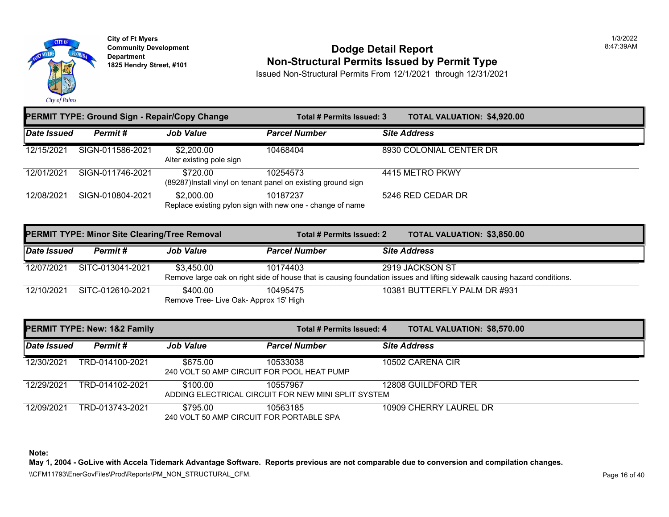

#### **Community Development** 8:47:39AM **1825 Non-Structural Permits Issued by Permit Type**

Issued Non-Structural Permits From 12/1/2021 through 12/31/2021

| LINNII I I FL. GIUUIIU JIYII - REPAII/COPY CHANGE |                                                      |                                                    | טעם <del>וו</del> ד <del>כ</del> וווונג ואטענע. ט                        | <b>IUIAL VALUATIUN.</b> \$4,320.00                                                                                                           |  |
|---------------------------------------------------|------------------------------------------------------|----------------------------------------------------|--------------------------------------------------------------------------|----------------------------------------------------------------------------------------------------------------------------------------------|--|
| Date Issued                                       | Permit#                                              | <b>Job Value</b>                                   | <b>Parcel Number</b>                                                     | <b>Site Address</b>                                                                                                                          |  |
| 12/15/2021                                        | SIGN-011586-2021                                     | \$2,200.00<br>Alter existing pole sign             | 10468404                                                                 | 8930 COLONIAL CENTER DR                                                                                                                      |  |
| 12/01/2021                                        | SIGN-011746-2021                                     | \$720.00                                           | 10254573<br>(89287)Install vinyl on tenant panel on existing ground sign | 4415 METRO PKWY                                                                                                                              |  |
| 12/08/2021                                        | SIGN-010804-2021                                     | \$2,000.00                                         | 10187237<br>Replace existing pylon sign with new one - change of name    | 5246 RED CEDAR DR                                                                                                                            |  |
|                                                   | <b>PERMIT TYPE: Minor Site Clearing/Tree Removal</b> |                                                    | Total # Permits Issued: 2                                                | <b>TOTAL VALUATION: \$3,850.00</b>                                                                                                           |  |
| Date Issued                                       | Permit#                                              | <b>Job Value</b>                                   | <b>Parcel Number</b>                                                     | <b>Site Address</b>                                                                                                                          |  |
| 12/07/2021                                        | SITC-013041-2021                                     | \$3,450.00                                         | 10174403                                                                 | 2919 JACKSON ST<br>Remove large oak on right side of house that is causing foundation issues and lifting sidewalk causing hazard conditions. |  |
| 12/10/2021                                        | SITC-012610-2021                                     | \$400.00<br>Remove Tree- Live Oak- Approx 15' High | 10495475                                                                 | 10381 BUTTERFLY PALM DR #931                                                                                                                 |  |
|                                                   | <b>PERMIT TYPE: New: 1&amp;2 Family</b>              |                                                    | Total # Permits Issued: 4                                                | <b>TOTAL VALUATION: \$8,570.00</b>                                                                                                           |  |
| <b>Date Issued</b>                                | Permit#                                              | <b>Job Value</b>                                   | <b>Parcel Number</b>                                                     | <b>Site Address</b>                                                                                                                          |  |
| 12/30/2021                                        | TRD-014100-2021                                      | \$675.00                                           | 10533038<br>240 VOLT 50 AMP CIRCUIT FOR POOL HEAT PUMP                   | 10502 CARENA CIR                                                                                                                             |  |

**PERMIT TYPE: Ground Sign - Repair/Copy Change Total # Permits Issued: 3 TOTAL VALUATION: \$4,920.00** 

| 12/29/2021 | TRD-014102-2021 | \$100.00 | 10557967                                            | 12808 GUILDFORD TER    |  |
|------------|-----------------|----------|-----------------------------------------------------|------------------------|--|
|            |                 |          |                                                     |                        |  |
|            |                 |          | ADDING ELECTRICAL CIRCUIT FOR NEW MINI SPLIT SYSTEM |                        |  |
|            |                 |          |                                                     |                        |  |
| 12/09/2021 | TRD-013743-2021 | \$795.00 | 10563185                                            | 10909 CHERRY LAUREL DR |  |
|            |                 |          |                                                     |                        |  |
|            |                 |          | 240 VOLT 50 AMP CIRCUIT FOR PORTABLE SPA            |                        |  |

**Note:** 

**May 1, 2004 - GoLive with Accela Tidemark Advantage Software. Reports previous are not comparable due to conversion and compilation changes.**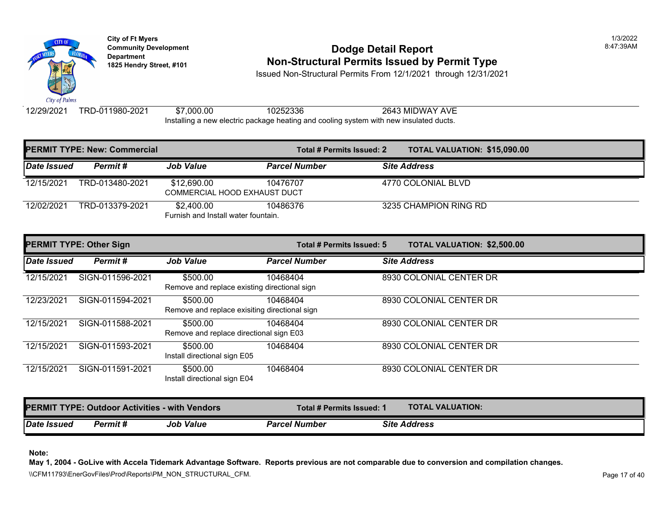

## **Community Development Community Development Community Development Non-Structural Permits Issued by Permit Type**

Issued Non-Structural Permits From 12/1/2021 through 12/31/2021

12/29/2021 TRD-011980-2021 \$7,000.00 10252336 2643 MIDWAY AVE Installing a new electric package heating and cooling system with new insulated ducts.

|             | <b>PERMIT TYPE: New: Commercial</b> |                                                    | Total # Permits Issued: 2 |                     | <b>TOTAL VALUATION: \$15,090</b> |
|-------------|-------------------------------------|----------------------------------------------------|---------------------------|---------------------|----------------------------------|
| Date Issued | Permit #                            | <b>Job Value</b>                                   | <b>Parcel Number</b>      | <b>Site Address</b> |                                  |
| 12/15/2021  | TRD-013480-2021                     | \$12,690.00<br><b>COMMERCIAL HOOD EXHAUST DUCT</b> | 10476707                  | 4770 COLONIAL BLVD  |                                  |
| 12/02/2021  | TRD-013379-2021                     | \$2,400.00<br>Furnish and Install water fountain.  | 10486376                  |                     | 3235 CHAMPION RING RD            |

| <b>PERMIT TYPE: Other Sign</b> |                  |                                                           | Total # Permits Issued: 5 | <b>TOTAL VALUATION: \$2,500.0</b> |
|--------------------------------|------------------|-----------------------------------------------------------|---------------------------|-----------------------------------|
| Date Issued                    | Permit#          | <b>Job Value</b>                                          | <b>Parcel Number</b>      | <b>Site Address</b>               |
| 12/15/2021                     | SIGN-011596-2021 | \$500.00<br>Remove and replace existing directional sign  | 10468404                  | 8930 COLONIAL CENTER DR           |
| 12/23/2021                     | SIGN-011594-2021 | \$500.00<br>Remove and replace exisiting directional sign | 10468404                  | 8930 COLONIAL CENTER DR           |
| 12/15/2021                     | SIGN-011588-2021 | \$500.00<br>Remove and replace directional sign E03       | 10468404                  | 8930 COLONIAL CENTER DR           |
| 12/15/2021                     | SIGN-011593-2021 | \$500.00<br>Install directional sign E05                  | 10468404                  | 8930 COLONIAL CENTER DR           |
| 12/15/2021                     | SIGN-011591-2021 | \$500.00<br>Install directional sign E04                  | 10468404                  | 8930 COLONIAL CENTER DR           |

|                    |          | <b>PERMIT TYPE: Outdoor Activities - with Vendors</b> | Total # Permits Issued: 1 | <b>TOTAL VALUATION:</b> |  |
|--------------------|----------|-------------------------------------------------------|---------------------------|-------------------------|--|
| <b>Date Issued</b> | Permit # | <b>Job Value</b>                                      | <b>Parcel Number</b>      | <b>Site Address</b>     |  |

**Note:**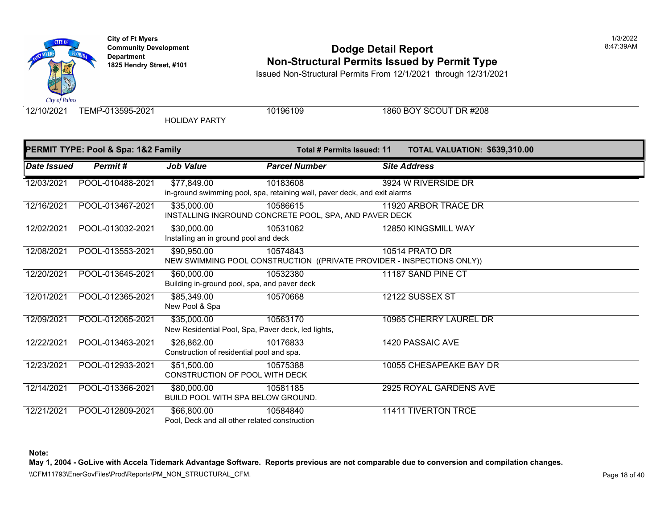## **Community Development 18:47:39AM**<br>
Dodge Detail Report **Non-Structural Permits Issued by Permit Type** 1825 Hendry Street, #101 **1825 Hendry Street, #101**

Issued Non-Structural Permits From 12/1/2021 through 12/31/2021

City of Palm:

HOLIDAY PARTY

12/10/2021 TEMP-013595-2021 10196109 10196109 1860 BOY SCOUT DR #208

| PERMIT TYPE: Pool & Spa: 1&2 Family |                  |                                                                   | Total # Permits Issued: 11                                                            | <b>TOTAL VALUATION: \$639,310.00</b> |
|-------------------------------------|------------------|-------------------------------------------------------------------|---------------------------------------------------------------------------------------|--------------------------------------|
| Date Issued                         | Permit#          | <b>Job Value</b>                                                  | <b>Parcel Number</b>                                                                  | <b>Site Address</b>                  |
| 12/03/2021                          | POOL-010488-2021 | \$77,849.00                                                       | 10183608<br>in-ground swimming pool, spa, retaining wall, paver deck, and exit alarms | 3924 W RIVERSIDE DR                  |
| 12/16/2021                          | POOL-013467-2021 | \$35,000.00                                                       | 10586615<br>INSTALLING INGROUND CONCRETE POOL, SPA, AND PAVER DECK                    | 11920 ARBOR TRACE DR                 |
| 12/02/2021                          | POOL-013032-2021 | \$30,000.00<br>Installing an in ground pool and deck              | 10531062                                                                              | 12850 KINGSMILL WAY                  |
| 12/08/2021                          | POOL-013553-2021 | \$90,950.00                                                       | 10574843<br>NEW SWIMMING POOL CONSTRUCTION ((PRIVATE PROVIDER - INSPECTIONS ONLY))    | 10514 PRATO DR                       |
| 12/20/2021                          | POOL-013645-2021 | \$60,000.00<br>Building in-ground pool, spa, and paver deck       | 10532380                                                                              | 11187 SAND PINE CT                   |
| 12/01/2021                          | POOL-012365-2021 | \$85,349.00<br>New Pool & Spa                                     | 10570668                                                                              | 12122 SUSSEX ST                      |
| 12/09/2021                          | POOL-012065-2021 | \$35,000.00<br>New Residential Pool, Spa, Paver deck, led lights, | 10563170                                                                              | 10965 CHERRY LAUREL DR               |
| 12/22/2021                          | POOL-013463-2021 | \$26,862.00<br>Construction of residential pool and spa.          | 10176833                                                                              | 1420 PASSAIC AVE                     |
| 12/23/2021                          | POOL-012933-2021 | $\overline{$}51,500.00$<br>CONSTRUCTION OF POOL WITH DECK         | 10575388                                                                              | 10055 CHESAPEAKE BAY DR              |
| 12/14/2021                          | POOL-013366-2021 | \$80,000.00<br><b>BUILD POOL WITH SPA BELOW GROUND.</b>           | 10581185                                                                              | 2925 ROYAL GARDENS AVE               |
| 12/21/2021                          | POOL-012809-2021 | \$66,800.00<br>Pool, Deck and all other related construction      | 10584840                                                                              | <b>11411 TIVERTON TRCE</b>           |

**Note:** 

**May 1, 2004 - GoLive with Accela Tidemark Advantage Software. Reports previous are not comparable due to conversion and compilation changes.** 

\\CFM11793\EnerGovFiles\Prod\Reports\PM\_NON\_STRUCTURAL\_CFM.<br>Rage 18 of 40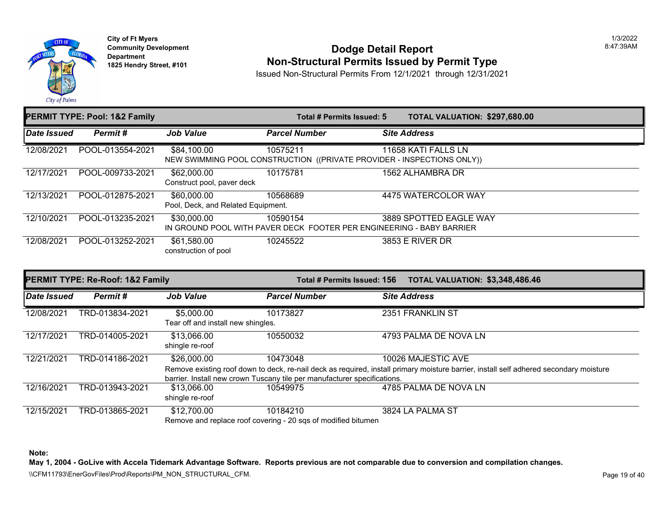

**City of Ft Myers Community Development Department 1825 Hendry Street, #101** 

#### **Dodge Detail Report Non-Structural Permits Issued by Permit Type**

1/3/2022 8:47:39AM

Issued Non-Structural Permits From 12/1/2021 through 12/31/2021

|             | <b>PERMIT TYPE: Pool: 1&amp;2 Family</b> |                                                   | Total # Permits Issued: 5                                                          | TOTAL VALUATION: \$297,680.00 |
|-------------|------------------------------------------|---------------------------------------------------|------------------------------------------------------------------------------------|-------------------------------|
| Date Issued | Permit#                                  | <b>Job Value</b>                                  | <b>Parcel Number</b>                                                               | <b>Site Address</b>           |
| 12/08/2021  | POOL-013554-2021                         | \$84,100.00                                       | 10575211<br>NEW SWIMMING POOL CONSTRUCTION ((PRIVATE PROVIDER - INSPECTIONS ONLY)) | 11658 KATI FALLS LN           |
| 12/17/2021  | POOL-009733-2021                         | \$62,000.00<br>Construct pool, paver deck         | 10175781                                                                           | 1562 ALHAMBRA DR              |
| 12/13/2021  | POOL-012875-2021                         | \$60,000.00<br>Pool, Deck, and Related Equipment. | 10568689                                                                           | 4475 WATERCOLOR WAY           |
| 12/10/2021  | POOL-013235-2021                         | \$30,000.00                                       | 10590154<br>IN GROUND POOL WITH PAVER DECK FOOTER PER ENGINEERING - BABY BARRIER   | 3889 SPOTTED EAGLE WAY        |
| 12/08/2021  | POOL-013252-2021                         | \$61,580.00<br>construction of pool               | 10245522                                                                           | 3853 E RIVER DR               |

|             | <b>PERMIT TYPE: Re-Roof: 1&amp;2 Family</b> |                                                  | Total # Permits Issued: 156                                              | <b>TOTAL VALUATION: \$3,348,486.46</b>                                                                                                 |
|-------------|---------------------------------------------|--------------------------------------------------|--------------------------------------------------------------------------|----------------------------------------------------------------------------------------------------------------------------------------|
| Date Issued | Permit#                                     | <b>Job Value</b>                                 | <b>Parcel Number</b>                                                     | <b>Site Address</b>                                                                                                                    |
| 12/08/2021  | TRD-013834-2021                             | \$5,000.00<br>Tear off and install new shingles. | 10173827                                                                 | 2351 FRANKLIN ST                                                                                                                       |
| 12/17/2021  | TRD-014005-2021                             | \$13,066.00<br>shingle re-roof                   | 10550032                                                                 | 4793 PALMA DE NOVA LN                                                                                                                  |
| 12/21/2021  | TRD-014186-2021                             | \$26,000.00                                      | 10473048                                                                 | 10026 MAJESTIC AVE                                                                                                                     |
|             |                                             |                                                  |                                                                          | Remove existing roof down to deck, re-nail deck as required, install primary moisture barrier, install self adhered secondary moisture |
|             |                                             |                                                  | barrier. Install new crown Tuscany tile per manufacturer specifications. |                                                                                                                                        |
| 12/16/2021  | TRD-013943-2021                             | \$13,066.00                                      | 10549975                                                                 | 4785 PALMA DE NOVA LN                                                                                                                  |
|             |                                             | shingle re-roof                                  |                                                                          |                                                                                                                                        |
| 12/15/2021  | TRD-013865-2021                             | \$12,700.00                                      | 10184210                                                                 | 3824 LA PALMA ST                                                                                                                       |
|             |                                             |                                                  | Remove and replace roof covering - 20 sqs of modified bitumen            |                                                                                                                                        |

**Note:** 

**May 1, 2004 - GoLive with Accela Tidemark Advantage Software. Reports previous are not comparable due to conversion and compilation changes.** 

\\CFM11793\EnerGovFiles\Prod\Reports\PM\_NON\_STRUCTURAL\_CFM.<br>Rage 19 of 40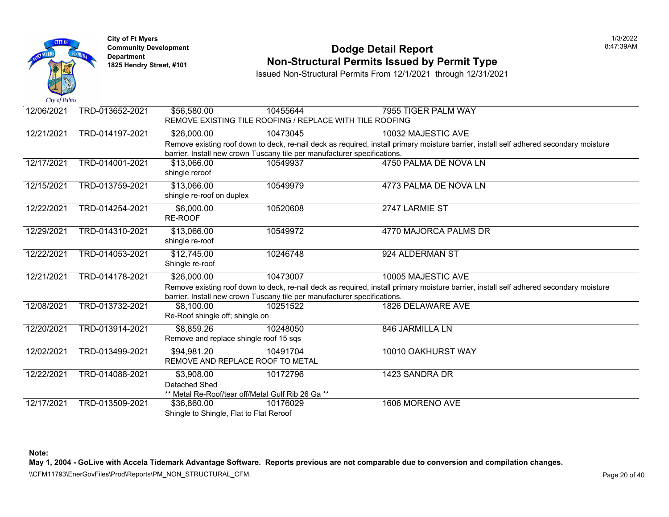

#### **Community Development Dodge Detail Report** 8:47:39AM **Non-Structural Permits Issued by Permit Type**

Issued Non-Structural Permits From 12/1/2021 through 12/31/2021

| 12/06/2021 | TRD-013652-2021 | \$56,580.00                                       | 10455644                                                                 | 7955 TIGER PALM WAY                                                                                                                    |
|------------|-----------------|---------------------------------------------------|--------------------------------------------------------------------------|----------------------------------------------------------------------------------------------------------------------------------------|
|            |                 |                                                   | REMOVE EXISTING TILE ROOFING / REPLACE WITH TILE ROOFING                 |                                                                                                                                        |
| 12/21/2021 | TRD-014197-2021 | \$26,000.00                                       | 10473045                                                                 | 10032 MAJESTIC AVE                                                                                                                     |
|            |                 |                                                   |                                                                          | Remove existing roof down to deck, re-nail deck as required, install primary moisture barrier, install self adhered secondary moisture |
|            |                 |                                                   | barrier. Install new crown Tuscany tile per manufacturer specifications. |                                                                                                                                        |
| 12/17/2021 | TRD-014001-2021 | \$13,066.00                                       | 10549937                                                                 | 4750 PALMA DE NOVA LN                                                                                                                  |
|            |                 | shingle reroof                                    |                                                                          |                                                                                                                                        |
| 12/15/2021 | TRD-013759-2021 | \$13,066.00                                       | 10549979                                                                 | 4773 PALMA DE NOVA LN                                                                                                                  |
|            |                 | shingle re-roof on duplex                         |                                                                          |                                                                                                                                        |
| 12/22/2021 | TRD-014254-2021 | \$6,000.00                                        | 10520608                                                                 | 2747 LARMIE ST                                                                                                                         |
|            |                 | RE-ROOF                                           |                                                                          |                                                                                                                                        |
| 12/29/2021 | TRD-014310-2021 | \$13,066.00                                       | 10549972                                                                 | 4770 MAJORCA PALMS DR                                                                                                                  |
|            |                 | shingle re-roof                                   |                                                                          |                                                                                                                                        |
| 12/22/2021 | TRD-014053-2021 | \$12,745.00                                       | 10246748                                                                 | 924 ALDERMAN ST                                                                                                                        |
|            |                 | Shingle re-roof                                   |                                                                          |                                                                                                                                        |
| 12/21/2021 | TRD-014178-2021 | \$26,000.00                                       | 10473007                                                                 | 10005 MAJESTIC AVE                                                                                                                     |
|            |                 |                                                   |                                                                          | Remove existing roof down to deck, re-nail deck as required, install primary moisture barrier, install self adhered secondary moisture |
|            |                 |                                                   | barrier. Install new crown Tuscany tile per manufacturer specifications. |                                                                                                                                        |
| 12/08/2021 | TRD-013732-2021 | \$8,100.00                                        | 10251522                                                                 | 1826 DELAWARE AVE                                                                                                                      |
|            |                 | Re-Roof shingle off; shingle on                   |                                                                          |                                                                                                                                        |
| 12/20/2021 | TRD-013914-2021 | \$8,859.26                                        | 10248050                                                                 | 846 JARMILLA LN                                                                                                                        |
|            |                 | Remove and replace shingle roof 15 sqs            |                                                                          |                                                                                                                                        |
| 12/02/2021 | TRD-013499-2021 | \$94,981.20                                       | 10491704                                                                 | 10010 OAKHURST WAY                                                                                                                     |
|            |                 | REMOVE AND REPLACE ROOF TO METAL                  |                                                                          |                                                                                                                                        |
| 12/22/2021 | TRD-014088-2021 | \$3,908.00                                        | 10172796                                                                 | 1423 SANDRA DR                                                                                                                         |
|            |                 | Detached Shed                                     |                                                                          |                                                                                                                                        |
|            |                 | ** Metal Re-Roof/tear off/Metal Gulf Rib 26 Ga ** |                                                                          |                                                                                                                                        |
| 12/17/2021 | TRD-013509-2021 | \$36,860.00                                       | 10176029                                                                 | 1606 MORENO AVE                                                                                                                        |
|            |                 | Shingle to Shingle, Flat to Flat Reroof           |                                                                          |                                                                                                                                        |

**Note:** 

**May 1, 2004 - GoLive with Accela Tidemark Advantage Software. Reports previous are not comparable due to conversion and compilation changes.** 

\\CFM11793\EnerGovFiles\Prod\Reports\PM\_NON\_STRUCTURAL\_CFM.<br>Rage 20 of 40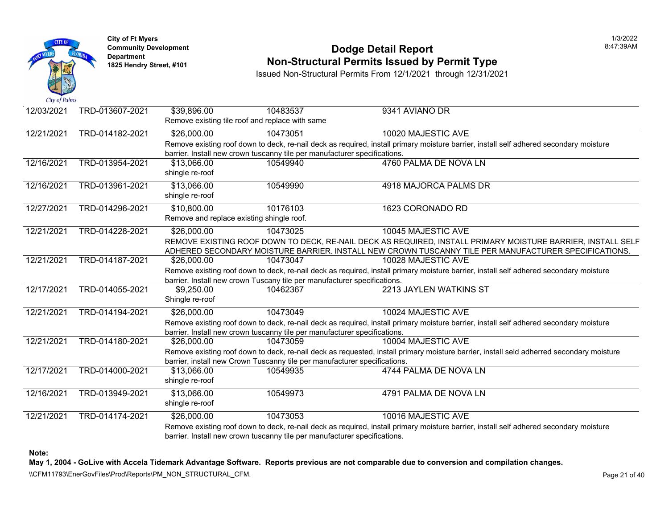

#### **Community Development Dodge Detail Report** 8:47:39AM **1825 Non-Structural Permits Issued by Permit Type**

Issued Non-Structural Permits From 12/1/2021 through 12/31/2021

| 12/03/2021 | TRD-013607-2021 | \$39,896.00                    | 10483537<br>Remove existing tile roof and replace with same                           | 9341 AVIANO DR                                                                                                                                                                                                                            |
|------------|-----------------|--------------------------------|---------------------------------------------------------------------------------------|-------------------------------------------------------------------------------------------------------------------------------------------------------------------------------------------------------------------------------------------|
| 12/21/2021 | TRD-014182-2021 | \$26,000.00                    | 10473051                                                                              | 10020 MAJESTIC AVE                                                                                                                                                                                                                        |
|            |                 |                                | barrier. Install new crown tuscanny tile per manufacturer specifications.             | Remove existing roof down to deck, re-nail deck as required, install primary moisture barrier, install self adhered secondary moisture                                                                                                    |
| 12/16/2021 | TRD-013954-2021 | \$13,066.00<br>shingle re-roof | 10549940                                                                              | 4760 PALMA DE NOVA LN                                                                                                                                                                                                                     |
| 12/16/2021 | TRD-013961-2021 | \$13,066.00<br>shingle re-roof | 10549990                                                                              | 4918 MAJORCA PALMS DR                                                                                                                                                                                                                     |
| 12/27/2021 | TRD-014296-2021 | \$10,800.00                    | 10176103<br>Remove and replace existing shingle roof.                                 | 1623 CORONADO RD                                                                                                                                                                                                                          |
| 12/21/2021 | TRD-014228-2021 | \$26,000.00                    | 10473025                                                                              | 10045 MAJESTIC AVE<br>REMOVE EXISTING ROOF DOWN TO DECK, RE-NAIL DECK AS REQUIRED, INSTALL PRIMARY MOISTURE BARRIER, INSTALL SELF<br>ADHERED SECONDARY MOISTURE BARRIER. INSTALL NEW CROWN TUSCANNY TILE PER MANUFACTURER SPECIFICATIONS. |
| 12/21/2021 | TRD-014187-2021 | \$26,000.00                    | 10473047<br>barrier. Install new crown Tuscany tile per manufacturer specifications.  | 10028 MAJESTIC AVE<br>Remove existing roof down to deck, re-nail deck as required, install primary moisture barrier, install self adhered secondary moisture                                                                              |
| 12/17/2021 | TRD-014055-2021 | \$9,250.00<br>Shingle re-roof  | 10462367                                                                              | 2213 JAYLEN WATKINS ST                                                                                                                                                                                                                    |
| 12/21/2021 | TRD-014194-2021 | \$26,000.00                    | 10473049<br>barrier. Install new crown tuscanny tile per manufacturer specifications. | 10024 MAJESTIC AVE<br>Remove existing roof down to deck, re-nail deck as required, install primary moisture barrier, install self adhered secondary moisture                                                                              |
| 12/21/2021 | TRD-014180-2021 | \$26,000.00                    | 10473059<br>barrier, install new Crown Tuscanny tile per manufacturer specifications. | 10004 MAJESTIC AVE<br>Remove existing roof down to deck, re-nail deck as requested, install primary moisture barrier, install seld adherred secondary moisture                                                                            |
| 12/17/2021 | TRD-014000-2021 | \$13,066.00<br>shingle re-roof | 10549935                                                                              | 4744 PALMA DE NOVA LN                                                                                                                                                                                                                     |
| 12/16/2021 | TRD-013949-2021 | \$13,066.00<br>shingle re-roof | 10549973                                                                              | 4791 PALMA DE NOVA LN                                                                                                                                                                                                                     |
| 12/21/2021 | TRD-014174-2021 | \$26,000.00                    | 10473053<br>barrier. Install new crown tuscanny tile per manufacturer specifications. | 10016 MAJESTIC AVE<br>Remove existing roof down to deck, re-nail deck as required, install primary moisture barrier, install self adhered secondary moisture                                                                              |

**Note:** 

**May 1, 2004 - GoLive with Accela Tidemark Advantage Software. Reports previous are not comparable due to conversion and compilation changes.** 

\\CFM11793\EnerGovFiles\Prod\Reports\PM\_NON\_STRUCTURAL\_CFM.<br>Rage 21 of 40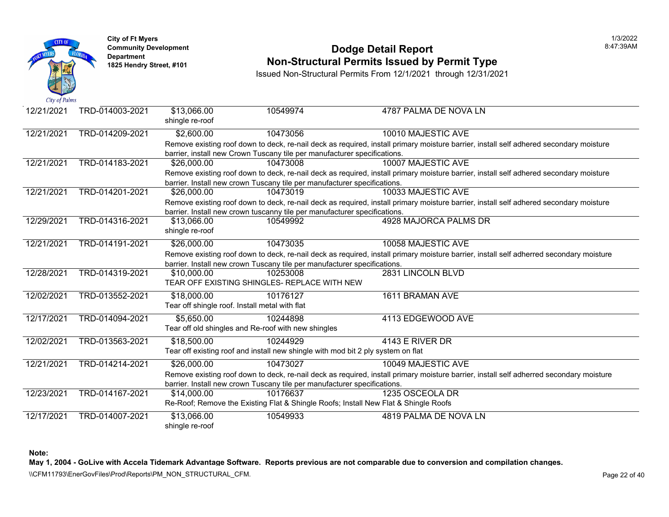

## **Community Development Community Development Dodge Detail Report Non-Structural Permits Issued by Permit Type**

Issued Non-Structural Permits From 12/1/2021 through 12/31/2021

| 12/21/2021 | TRD-014003-2021 | \$13,066.00<br>shingle re-roof | 10549974                                                                         | 4787 PALMA DE NOVA LN                                                                                         |
|------------|-----------------|--------------------------------|----------------------------------------------------------------------------------|---------------------------------------------------------------------------------------------------------------|
| 12/21/2021 | TRD-014209-2021 | \$2,600.00                     | 10473056                                                                         | 10010 MAJESTIC AVE                                                                                            |
|            |                 |                                |                                                                                  | Remove existing roof down to deck, re-nail deck as required, install primary moisture barrier, install self a |
|            |                 |                                | barrier, install new Crown Tuscany tile per manufacturer specifications.         |                                                                                                               |
| 12/21/2021 | TRD-014183-2021 | \$26,000.00                    | 10473008                                                                         | 10007 MAJESTIC AVE                                                                                            |
|            |                 |                                |                                                                                  | Remove existing roof down to deck, re-nail deck as required, install primary moisture barrier, install self a |
|            |                 |                                | barrier. Install new crown Tuscany tile per manufacturer specifications.         |                                                                                                               |
| 12/21/2021 | TRD-014201-2021 | \$26,000.00                    | 10473019                                                                         | 10033 MAJESTIC AVE                                                                                            |
|            |                 |                                |                                                                                  | Remove existing roof down to deck, re-nail deck as required, install primary moisture barrier, install self a |
|            |                 |                                | barrier. Install new crown tuscanny tile per manufacturer specifications.        |                                                                                                               |
| 12/29/2021 | TRD-014316-2021 | \$13,066.00                    | 10549992                                                                         | 4928 MAJORCA PALMS DR                                                                                         |
|            |                 | shingle re-roof                |                                                                                  |                                                                                                               |
| 12/21/2021 | TRD-014191-2021 | \$26,000.00                    | 10473035                                                                         | 10058 MAJESTIC AVE                                                                                            |
|            |                 |                                |                                                                                  | Remove existing roof down to deck, re-nail deck as required, install primary moisture barrier, install self a |
|            |                 |                                | barrier. Install new crown Tuscany tile per manufacturer specifications.         |                                                                                                               |
| 12/28/2021 | TRD-014319-2021 | \$10,000.00                    | 10253008                                                                         | 2831 LINCOLN BLVD                                                                                             |
|            |                 |                                | TEAR OFF EXISTING SHINGLES- REPLACE WITH NEW                                     |                                                                                                               |
| 12/02/2021 | TRD-013552-2021 | \$18,000.00                    | 10176127                                                                         | 1611 BRAMAN AVE                                                                                               |
|            |                 |                                | Tear off shingle roof. Install metal with flat                                   |                                                                                                               |
|            |                 |                                |                                                                                  |                                                                                                               |
| 12/17/2021 | TRD-014094-2021 | \$5,650.00                     | 10244898                                                                         | 4113 EDGEWOOD AVE                                                                                             |
|            |                 |                                | Tear off old shingles and Re-roof with new shingles                              |                                                                                                               |
| 12/02/2021 | TRD-013563-2021 | \$18,500.00                    | 10244929                                                                         | 4143 E RIVER DR                                                                                               |
|            |                 |                                | Tear off existing roof and install new shingle with mod bit 2 ply system on flat |                                                                                                               |
| 12/21/2021 | TRD-014214-2021 | \$26,000.00                    | 10473027                                                                         | 10049 MAJESTIC AVE                                                                                            |
|            |                 |                                |                                                                                  | Remove existing roof down to deck, re-nail deck as required, install primary moisture barrier, install self a |
|            |                 |                                | barrier. Install new crown Tuscany tile per manufacturer specifications.         |                                                                                                               |
| 12/23/2021 | TRD-014167-2021 | \$14,000.00                    | 10176637                                                                         | 1235 OSCEOLA DR                                                                                               |
|            |                 |                                |                                                                                  | Re-Roof; Remove the Existing Flat & Shingle Roofs; Install New Flat & Shingle Roofs                           |
| 12/17/2021 | TRD-014007-2021 | \$13,066.00                    | 10549933                                                                         | 4819 PALMA DE NOVA LN                                                                                         |
|            |                 | shingle re-roof                |                                                                                  |                                                                                                               |

**Note:**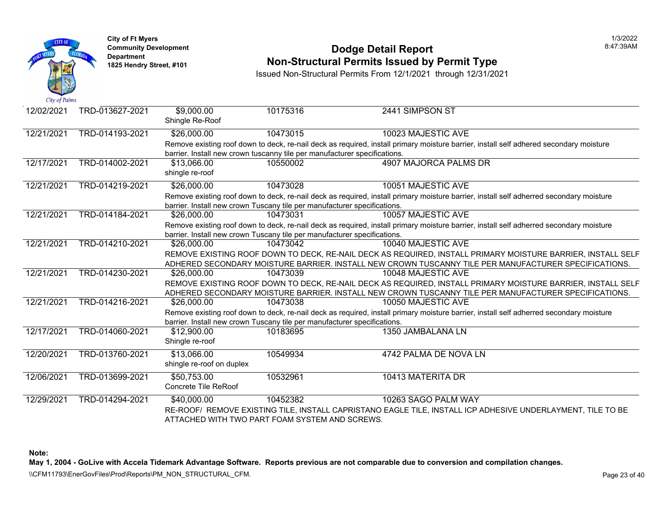

#### **Community Development** 8:47:39AM **Non-Structural Permits Issued by Permit Type**

Issued Non-Structural Permits From 12/1/2021 through 12/31/2021

| 12/02/2021 | TRD-013627-2021 | \$9,000.00<br>Shingle Re-Roof                                             | 10175316 | 2441 SIMPSON ST                                                                                                                         |
|------------|-----------------|---------------------------------------------------------------------------|----------|-----------------------------------------------------------------------------------------------------------------------------------------|
| 12/21/2021 | TRD-014193-2021 | \$26,000.00                                                               | 10473015 | 10023 MAJESTIC AVE                                                                                                                      |
|            |                 |                                                                           |          | Remove existing roof down to deck, re-nail deck as required, install primary moisture barrier, install self adhered secondary moisture  |
|            |                 | barrier. Install new crown tuscanny tile per manufacturer specifications. |          |                                                                                                                                         |
| 12/17/2021 | TRD-014002-2021 | \$13,066.00                                                               | 10550002 | 4907 MAJORCA PALMS DR                                                                                                                   |
|            |                 | shingle re-roof                                                           |          |                                                                                                                                         |
| 12/21/2021 | TRD-014219-2021 | \$26,000.00                                                               | 10473028 | 10051 MAJESTIC AVE                                                                                                                      |
|            |                 |                                                                           |          | Remove existing roof down to deck, re-nail deck as required, install primary moisture barrier, install self adherred secondary moisture |
|            |                 | barrier. Install new crown Tuscany tile per manufacturer specifications.  |          |                                                                                                                                         |
| 12/21/2021 | TRD-014184-2021 | \$26,000.00                                                               | 10473031 | 10057 MAJESTIC AVE                                                                                                                      |
|            |                 |                                                                           |          | Remove existing roof down to deck, re-nail deck as required, install primary moisture barrier, install self adherred secondary moisture |
|            |                 | barrier. Install new crown Tuscany tile per manufacturer specifications.  |          |                                                                                                                                         |
| 12/21/2021 | TRD-014210-2021 | \$26,000.00                                                               | 10473042 | 10040 MAJESTIC AVE                                                                                                                      |
|            |                 |                                                                           |          | REMOVE EXISTING ROOF DOWN TO DECK, RE-NAIL DECK AS REQUIRED, INSTALL PRIMARY MOISTURE BARRIER, INSTALL SELF                             |
|            |                 |                                                                           |          | ADHERED SECONDARY MOISTURE BARRIER. INSTALL NEW CROWN TUSCANNY TILE PER MANUFACTURER SPECIFICATIONS.                                    |
| 12/21/2021 | TRD-014230-2021 | \$26,000.00                                                               | 10473039 | 10048 MAJESTIC AVE                                                                                                                      |
|            |                 |                                                                           |          | REMOVE EXISTING ROOF DOWN TO DECK, RE-NAIL DECK AS REQUIRED, INSTALL PRIMARY MOISTURE BARRIER, INSTALL SELF                             |
|            |                 |                                                                           |          | ADHERED SECONDARY MOISTURE BARRIER. INSTALL NEW CROWN TUSCANNY TILE PER MANUFACTURER SPECIFICATIONS.                                    |
| 12/21/2021 | TRD-014216-2021 | \$26,000.00                                                               | 10473038 | 10050 MAJESTIC AVE                                                                                                                      |
|            |                 |                                                                           |          | Remove existing roof down to deck, re-nail deck as required, install primary moisture barrier, install self adherred secondary moisture |
|            |                 | barrier. Install new crown Tuscany tile per manufacturer specifications.  |          |                                                                                                                                         |
| 12/17/2021 | TRD-014060-2021 | \$12,900.00                                                               | 10183695 | 1350 JAMBALANA LN                                                                                                                       |
|            |                 | Shingle re-roof                                                           |          |                                                                                                                                         |
| 12/20/2021 | TRD-013760-2021 | \$13,066.00                                                               | 10549934 | 4742 PALMA DE NOVA LN                                                                                                                   |
|            |                 | shingle re-roof on duplex                                                 |          |                                                                                                                                         |
| 12/06/2021 | TRD-013699-2021 | \$50,753.00                                                               | 10532961 | 10413 MATERITA DR                                                                                                                       |
|            |                 | <b>Concrete Tile ReRoof</b>                                               |          |                                                                                                                                         |
| 12/29/2021 | TRD-014294-2021 | \$40,000.00                                                               | 10452382 | 10263 SAGO PALM WAY                                                                                                                     |
|            |                 |                                                                           |          | RE-ROOF/ REMOVE EXISTING TILE, INSTALL CAPRISTANO EAGLE TILE, INSTALL ICP ADHESIVE UNDERLAYMENT, TILE TO BE                             |
|            |                 | ATTACHED WITH TWO PART FOAM SYSTEM AND SCREWS.                            |          |                                                                                                                                         |

**Note:** 

**May 1, 2004 - GoLive with Accela Tidemark Advantage Software. Reports previous are not comparable due to conversion and compilation changes.**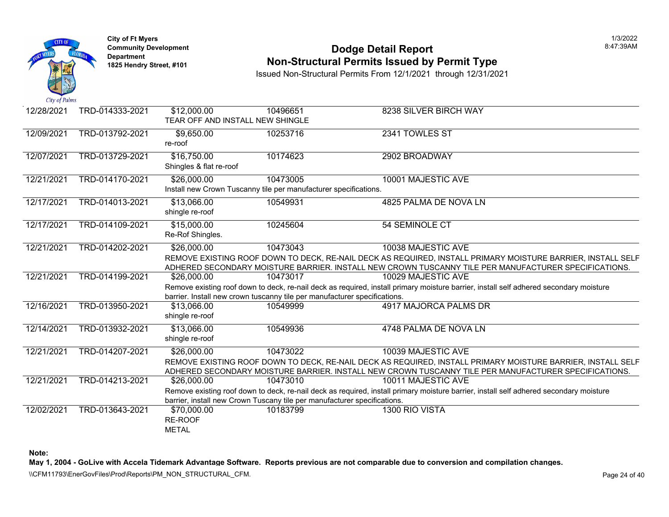

#### **Community Development Dodge Detail Report** 8:47:39AM **1825 Non-Structural Permits Issued by Permit Type**

Issued Non-Structural Permits From 12/1/2021 through 12/31/2021

| 12/28/2021 | TRD-014333-2021 | \$12,000.00                                                                                                 | 10496651                                                                  | 8238 SILVER BIRCH WAY                                                                                                                  |  |  |  |
|------------|-----------------|-------------------------------------------------------------------------------------------------------------|---------------------------------------------------------------------------|----------------------------------------------------------------------------------------------------------------------------------------|--|--|--|
|            |                 | TEAR OFF AND INSTALL NEW SHINGLE                                                                            |                                                                           |                                                                                                                                        |  |  |  |
| 12/09/2021 | TRD-013792-2021 | \$9,650.00                                                                                                  | 10253716                                                                  | 2341 TOWLES ST                                                                                                                         |  |  |  |
|            |                 | re-roof                                                                                                     |                                                                           |                                                                                                                                        |  |  |  |
| 12/07/2021 | TRD-013729-2021 | \$16,750.00                                                                                                 | 10174623                                                                  | 2902 BROADWAY                                                                                                                          |  |  |  |
|            |                 | Shingles & flat re-roof                                                                                     |                                                                           |                                                                                                                                        |  |  |  |
| 12/21/2021 | TRD-014170-2021 | \$26,000.00                                                                                                 | 10473005                                                                  | 10001 MAJESTIC AVE                                                                                                                     |  |  |  |
|            |                 |                                                                                                             | Install new Crown Tuscanny tile per manufacturer specifications.          |                                                                                                                                        |  |  |  |
| 12/17/2021 | TRD-014013-2021 | \$13,066.00                                                                                                 | 10549931                                                                  | 4825 PALMA DE NOVA LN                                                                                                                  |  |  |  |
|            |                 | shingle re-roof                                                                                             |                                                                           |                                                                                                                                        |  |  |  |
| 12/17/2021 | TRD-014109-2021 | \$15,000.00                                                                                                 | 10245604                                                                  | 54 SEMINOLE CT                                                                                                                         |  |  |  |
|            |                 | Re-Rof Shingles.                                                                                            |                                                                           |                                                                                                                                        |  |  |  |
| 12/21/2021 | TRD-014202-2021 | \$26,000.00                                                                                                 | 10473043                                                                  | 10038 MAJESTIC AVE                                                                                                                     |  |  |  |
|            |                 | REMOVE EXISTING ROOF DOWN TO DECK, RE-NAIL DECK AS REQUIRED, INSTALL PRIMARY MOISTURE BARRIER, INSTALL SELF |                                                                           |                                                                                                                                        |  |  |  |
|            |                 |                                                                                                             |                                                                           | ADHERED SECONDARY MOISTURE BARRIER. INSTALL NEW CROWN TUSCANNY TILE PER MANUFACTURER SPECIFICATIONS.                                   |  |  |  |
| 12/21/2021 | TRD-014199-2021 | \$26,000.00                                                                                                 | 10473017                                                                  | 10029 MAJESTIC AVE                                                                                                                     |  |  |  |
|            |                 |                                                                                                             |                                                                           | Remove existing roof down to deck, re-nail deck as required, install primary moisture barrier, install self adhered secondary moisture |  |  |  |
|            |                 |                                                                                                             | barrier. Install new crown tuscanny tile per manufacturer specifications. |                                                                                                                                        |  |  |  |
| 12/16/2021 | TRD-013950-2021 | \$13,066.00                                                                                                 | 10549999                                                                  | 4917 MAJORCA PALMS DR                                                                                                                  |  |  |  |
|            |                 | shingle re-roof                                                                                             |                                                                           |                                                                                                                                        |  |  |  |
| 12/14/2021 | TRD-013932-2021 | \$13,066.00                                                                                                 | 10549936                                                                  | 4748 PALMA DE NOVA LN                                                                                                                  |  |  |  |
|            |                 | shingle re-roof                                                                                             |                                                                           |                                                                                                                                        |  |  |  |
| 12/21/2021 | TRD-014207-2021 | \$26,000.00                                                                                                 | 10473022                                                                  | 10039 MAJESTIC AVE                                                                                                                     |  |  |  |
|            |                 |                                                                                                             |                                                                           | REMOVE EXISTING ROOF DOWN TO DECK, RE-NAIL DECK AS REQUIRED, INSTALL PRIMARY MOISTURE BARRIER, INSTALL SELF                            |  |  |  |
|            |                 |                                                                                                             |                                                                           | ADHERED SECONDARY MOISTURE BARRIER. INSTALL NEW CROWN TUSCANNY TILE PER MANUFACTURER SPECIFICATIONS.                                   |  |  |  |
| 12/21/2021 | TRD-014213-2021 | \$26,000.00                                                                                                 | 10473010                                                                  | 10011 MAJESTIC AVE                                                                                                                     |  |  |  |
|            |                 |                                                                                                             |                                                                           | Remove existing roof down to deck, re-nail deck as required, install primary moisture barrier, install self adhered secondary moisture |  |  |  |
|            |                 |                                                                                                             | barrier, install new Crown Tuscany tile per manufacturer specifications.  |                                                                                                                                        |  |  |  |
| 12/02/2021 | TRD-013643-2021 | \$70,000.00                                                                                                 | 10183799                                                                  | 1300 RIO VISTA                                                                                                                         |  |  |  |
|            |                 | RE-ROOF                                                                                                     |                                                                           |                                                                                                                                        |  |  |  |
|            |                 | <b>METAL</b>                                                                                                |                                                                           |                                                                                                                                        |  |  |  |

**Note:** 

**May 1, 2004 - GoLive with Accela Tidemark Advantage Software. Reports previous are not comparable due to conversion and compilation changes.** 

\\CFM11793\EnerGovFiles\Prod\Reports\PM\_NON\_STRUCTURAL\_CFM.<br>Rage 24 of 40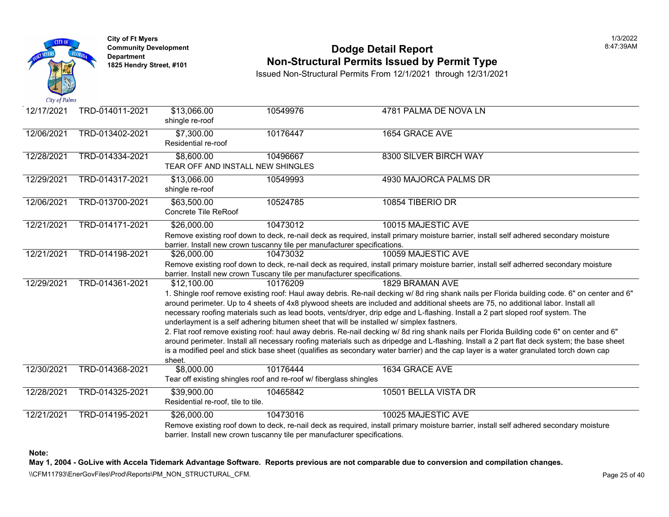

### **Community Development Community Development Community Development Non-Structural Permits Issued by Permit Type**

Issued Non-Structural Permits From 12/1/2021 through 12/31/2021

| 12/17/2021 | TRD-014011-2021 | \$13,066.00<br>shingle re-roof                                                                                                                                                                                                                                                                                                                                                                                                                                                                                                                                                                                                                                                                                                                                                                                                           | 10549976                                                                              | 4781 PALMA DE NOVA LN                                                                                                               |  |  |
|------------|-----------------|------------------------------------------------------------------------------------------------------------------------------------------------------------------------------------------------------------------------------------------------------------------------------------------------------------------------------------------------------------------------------------------------------------------------------------------------------------------------------------------------------------------------------------------------------------------------------------------------------------------------------------------------------------------------------------------------------------------------------------------------------------------------------------------------------------------------------------------|---------------------------------------------------------------------------------------|-------------------------------------------------------------------------------------------------------------------------------------|--|--|
| 12/06/2021 | TRD-013402-2021 | \$7,300.00<br>Residential re-roof                                                                                                                                                                                                                                                                                                                                                                                                                                                                                                                                                                                                                                                                                                                                                                                                        | 10176447                                                                              | 1654 GRACE AVE                                                                                                                      |  |  |
| 12/28/2021 | TRD-014334-2021 | \$8,600.00<br>TEAR OFF AND INSTALL NEW SHINGLES                                                                                                                                                                                                                                                                                                                                                                                                                                                                                                                                                                                                                                                                                                                                                                                          | 10496667                                                                              | 8300 SILVER BIRCH WAY                                                                                                               |  |  |
| 12/29/2021 | TRD-014317-2021 | \$13,066.00<br>shingle re-roof                                                                                                                                                                                                                                                                                                                                                                                                                                                                                                                                                                                                                                                                                                                                                                                                           | 10549993                                                                              | 4930 MAJORCA PALMS DR                                                                                                               |  |  |
| 12/06/2021 | TRD-013700-2021 | \$63,500.00<br>Concrete Tile ReRoof                                                                                                                                                                                                                                                                                                                                                                                                                                                                                                                                                                                                                                                                                                                                                                                                      | 10524785                                                                              | 10854 TIBERIO DR                                                                                                                    |  |  |
| 12/21/2021 | TRD-014171-2021 | \$26,000.00                                                                                                                                                                                                                                                                                                                                                                                                                                                                                                                                                                                                                                                                                                                                                                                                                              | 10473012<br>barrier. Install new crown tuscanny tile per manufacturer specifications. | 10015 MAJESTIC AVE<br>Remove existing roof down to deck, re-nail deck as required, install primary moisture barrier, install self a |  |  |
| 12/21/2021 | TRD-014198-2021 | \$26,000.00                                                                                                                                                                                                                                                                                                                                                                                                                                                                                                                                                                                                                                                                                                                                                                                                                              | 10473032<br>barrier. Install new crown Tuscany tile per manufacturer specifications.  | 10059 MAJESTIC AVE<br>Remove existing roof down to deck, re-nail deck as required, install primary moisture barrier, install self a |  |  |
| 12/29/2021 | TRD-014361-2021 | \$12,100.00<br>10176209<br>1829 BRAMAN AVE<br>1. Shingle roof remove existing roof: Haul away debris. Re-nail decking w/8d ring shank nails per Florida<br>around perimeter. Up to 4 sheets of 4x8 plywood sheets are included and additional sheets are 75, no ad<br>necessary roofing materials such as lead boots, vents/dryer, drip edge and L-flashing. Install a 2 part slop<br>underlayment is a self adhering bitumen sheet that will be installed w/ simplex fastners.<br>2. Flat roof remove existing roof: haul away debris. Re-nail decking w/ 8d ring shank nails per Florida Bui<br>around perimeter. Install all necessary roofing materials such as dripedge and L-flashing. Install a 2 part I<br>is a modified peel and stick base sheet (qualifies as secondary water barrier) and the cap layer is a water<br>sheet. |                                                                                       |                                                                                                                                     |  |  |
| 12/30/2021 | TRD-014368-2021 | \$8,000.00                                                                                                                                                                                                                                                                                                                                                                                                                                                                                                                                                                                                                                                                                                                                                                                                                               | 10176444<br>Tear off existing shingles roof and re-roof w/ fiberglass shingles        | 1634 GRACE AVE                                                                                                                      |  |  |
| 12/28/2021 | TRD-014325-2021 | \$39,900.00<br>Residential re-roof, tile to tile.                                                                                                                                                                                                                                                                                                                                                                                                                                                                                                                                                                                                                                                                                                                                                                                        | 10465842                                                                              | 10501 BELLA VISTA DR                                                                                                                |  |  |
| 12/21/2021 | TRD-014195-2021 | \$26,000.00                                                                                                                                                                                                                                                                                                                                                                                                                                                                                                                                                                                                                                                                                                                                                                                                                              | 10473016<br>barrier. Install new crown tuscanny tile per manufacturer specifications. | 10025 MAJESTIC AVE<br>Remove existing roof down to deck, re-nail deck as required, install primary moisture barrier, install self a |  |  |

**Note:**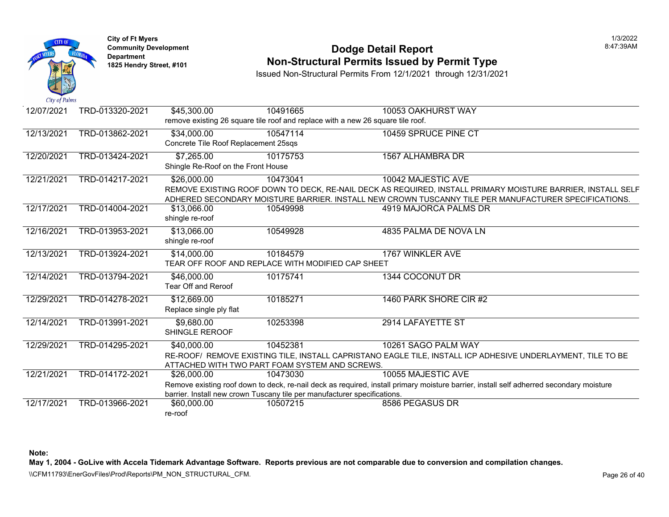

#### **Community Development Dodge Detail Report** 8:47:39AM **1825 Non-Structural Permits Issued by Permit Type**

Issued Non-Structural Permits From 12/1/2021 through 12/31/2021

| 12/07/2021 | TRD-013320-2021 | \$45,300.00                                                              | 10491665 | 10053 OAKHURST WAY                                                                                                                      |
|------------|-----------------|--------------------------------------------------------------------------|----------|-----------------------------------------------------------------------------------------------------------------------------------------|
|            |                 |                                                                          |          | remove existing 26 square tile roof and replace with a new 26 square tile roof.                                                         |
| 12/13/2021 | TRD-013862-2021 | \$34,000.00                                                              | 10547114 | 10459 SPRUCE PINE CT                                                                                                                    |
|            |                 | Concrete Tile Roof Replacement 25sqs                                     |          |                                                                                                                                         |
| 12/20/2021 | TRD-013424-2021 | \$7,265.00                                                               | 10175753 | 1567 ALHAMBRA DR                                                                                                                        |
|            |                 | Shingle Re-Roof on the Front House                                       |          |                                                                                                                                         |
| 12/21/2021 | TRD-014217-2021 | \$26,000.00                                                              | 10473041 | 10042 MAJESTIC AVE                                                                                                                      |
|            |                 |                                                                          |          | REMOVE EXISTING ROOF DOWN TO DECK, RE-NAIL DECK AS REQUIRED, INSTALL PRIMARY MOISTURE BARRIER, INSTALL SELF                             |
|            |                 |                                                                          |          | ADHERED SECONDARY MOISTURE BARRIER. INSTALL NEW CROWN TUSCANNY TILE PER MANUFACTURER SPECIFICATIONS.                                    |
| 12/17/2021 | TRD-014004-2021 | \$13,066.00                                                              | 10549998 | 4919 MAJORCA PALMS DR                                                                                                                   |
|            |                 | shingle re-roof                                                          |          |                                                                                                                                         |
| 12/16/2021 | TRD-013953-2021 | \$13,066.00                                                              | 10549928 | 4835 PALMA DE NOVA LN                                                                                                                   |
|            |                 | shingle re-roof                                                          |          |                                                                                                                                         |
| 12/13/2021 | TRD-013924-2021 | \$14,000.00                                                              | 10184579 | 1767 WINKLER AVE                                                                                                                        |
|            |                 | TEAR OFF ROOF AND REPLACE WITH MODIFIED CAP SHEET                        |          |                                                                                                                                         |
| 12/14/2021 | TRD-013794-2021 | \$46,000.00                                                              | 10175741 | 1344 COCONUT DR                                                                                                                         |
|            |                 | Tear Off and Reroof                                                      |          |                                                                                                                                         |
| 12/29/2021 | TRD-014278-2021 | \$12,669.00                                                              | 10185271 | 1460 PARK SHORE CIR #2                                                                                                                  |
|            |                 | Replace single ply flat                                                  |          |                                                                                                                                         |
| 12/14/2021 | TRD-013991-2021 | \$9,680.00                                                               | 10253398 | 2914 LAFAYETTE ST                                                                                                                       |
|            |                 | SHINGLE REROOF                                                           |          |                                                                                                                                         |
| 12/29/2021 | TRD-014295-2021 | \$40,000.00                                                              | 10452381 | 10261 SAGO PALM WAY                                                                                                                     |
|            |                 |                                                                          |          | RE-ROOF/ REMOVE EXISTING TILE, INSTALL CAPRISTANO EAGLE TILE, INSTALL ICP ADHESIVE UNDERLAYMENT, TILE TO BE                             |
|            |                 | ATTACHED WITH TWO PART FOAM SYSTEM AND SCREWS.                           |          |                                                                                                                                         |
| 12/21/2021 | TRD-014172-2021 | \$26,000.00                                                              | 10473030 | 10055 MAJESTIC AVE                                                                                                                      |
|            |                 |                                                                          |          | Remove existing roof down to deck, re-nail deck as required, install primary moisture barrier, install self adherred secondary moisture |
|            |                 | barrier. Install new crown Tuscany tile per manufacturer specifications. |          |                                                                                                                                         |
| 12/17/2021 | TRD-013966-2021 | \$60,000.00                                                              | 10507215 | 8586 PEGASUS DR                                                                                                                         |
|            |                 | re-roof                                                                  |          |                                                                                                                                         |

**Note:** 

**May 1, 2004 - GoLive with Accela Tidemark Advantage Software. Reports previous are not comparable due to conversion and compilation changes.**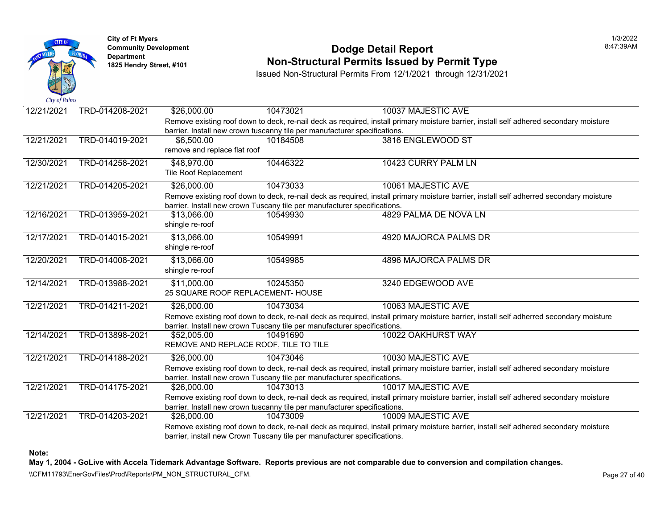

#### **Community Development Dodge Detail Report** 8:47:39AM **1825 Non-Structural Permits Issued by Permit Type**

Issued Non-Structural Permits From 12/1/2021 through 12/31/2021

| 12/21/2021 | TRD-014208-2021 | \$26,000.00                           | 10473021                                                                  | 10037 MAJESTIC AVE                                                                                                                      |
|------------|-----------------|---------------------------------------|---------------------------------------------------------------------------|-----------------------------------------------------------------------------------------------------------------------------------------|
|            |                 |                                       |                                                                           | Remove existing roof down to deck, re-nail deck as required, install primary moisture barrier, install self adhered secondary moisture  |
|            |                 |                                       | barrier. Install new crown tuscanny tile per manufacturer specifications. |                                                                                                                                         |
| 12/21/2021 | TRD-014019-2021 | \$6,500.00                            | 10184508                                                                  | 3816 ENGLEWOOD ST                                                                                                                       |
|            |                 | remove and replace flat roof          |                                                                           |                                                                                                                                         |
| 12/30/2021 | TRD-014258-2021 | \$48,970.00                           | 10446322                                                                  | 10423 CURRY PALM LN                                                                                                                     |
|            |                 | <b>Tile Roof Replacement</b>          |                                                                           |                                                                                                                                         |
| 12/21/2021 | TRD-014205-2021 | \$26,000.00                           | 10473033                                                                  | 10061 MAJESTIC AVE                                                                                                                      |
|            |                 |                                       |                                                                           | Remove existing roof down to deck, re-nail deck as required, install primary moisture barrier, install self adherred secondary moisture |
|            |                 |                                       | barrier. Install new crown Tuscany tile per manufacturer specifications.  |                                                                                                                                         |
| 12/16/2021 | TRD-013959-2021 | \$13,066.00                           | 10549930                                                                  | 4829 PALMA DE NOVA LN                                                                                                                   |
|            |                 | shingle re-roof                       |                                                                           |                                                                                                                                         |
| 12/17/2021 | TRD-014015-2021 | \$13,066.00                           | 10549991                                                                  | 4920 MAJORCA PALMS DR                                                                                                                   |
|            |                 | shingle re-roof                       |                                                                           |                                                                                                                                         |
| 12/20/2021 | TRD-014008-2021 | \$13,066.00                           | 10549985                                                                  | 4896 MAJORCA PALMS DR                                                                                                                   |
|            |                 | shingle re-roof                       |                                                                           |                                                                                                                                         |
| 12/14/2021 | TRD-013988-2021 | \$11,000.00                           | 10245350                                                                  | 3240 EDGEWOOD AVE                                                                                                                       |
|            |                 | 25 SQUARE ROOF REPLACEMENT- HOUSE     |                                                                           |                                                                                                                                         |
| 12/21/2021 | TRD-014211-2021 | \$26,000.00                           | 10473034                                                                  | 10063 MAJESTIC AVE                                                                                                                      |
|            |                 |                                       |                                                                           | Remove existing roof down to deck, re-nail deck as required, install primary moisture barrier, install self adherred secondary moisture |
|            |                 |                                       | barrier. Install new crown Tuscany tile per manufacturer specifications.  |                                                                                                                                         |
| 12/14/2021 | TRD-013898-2021 | \$52,005.00                           | 10491690                                                                  | 10022 OAKHURST WAY                                                                                                                      |
|            |                 | REMOVE AND REPLACE ROOF, TILE TO TILE |                                                                           |                                                                                                                                         |
| 12/21/2021 | TRD-014188-2021 | \$26,000.00                           | 10473046                                                                  | 10030 MAJESTIC AVE                                                                                                                      |
|            |                 |                                       |                                                                           | Remove existing roof down to deck, re-nail deck as required, install primary moisture barrier, install self adhered secondary moisture  |
|            |                 |                                       | barrier. Install new crown Tuscany tile per manufacturer specifications.  |                                                                                                                                         |
| 12/21/2021 | TRD-014175-2021 | \$26,000.00                           | 10473013                                                                  | 10017 MAJESTIC AVE                                                                                                                      |
|            |                 |                                       |                                                                           | Remove existing roof down to deck, re-nail deck as required, install primary moisture barrier, install self adhered secondary moisture  |
|            |                 |                                       | barrier. Install new crown tuscanny tile per manufacturer specifications. |                                                                                                                                         |
| 12/21/2021 | TRD-014203-2021 | \$26,000.00                           | 10473009                                                                  | 10009 MAJESTIC AVE                                                                                                                      |
|            |                 |                                       |                                                                           | Remove existing roof down to deck, re-nail deck as required, install primary moisture barrier, install self adhered secondary moisture  |
|            |                 |                                       | barrier, install new Crown Tuscany tile per manufacturer specifications.  |                                                                                                                                         |

**Note:** 

**May 1, 2004 - GoLive with Accela Tidemark Advantage Software. Reports previous are not comparable due to conversion and compilation changes.** 

\\CFM11793\EnerGovFiles\Prod\Reports\PM\_NON\_STRUCTURAL\_CFM.<br>Rage 27 of 40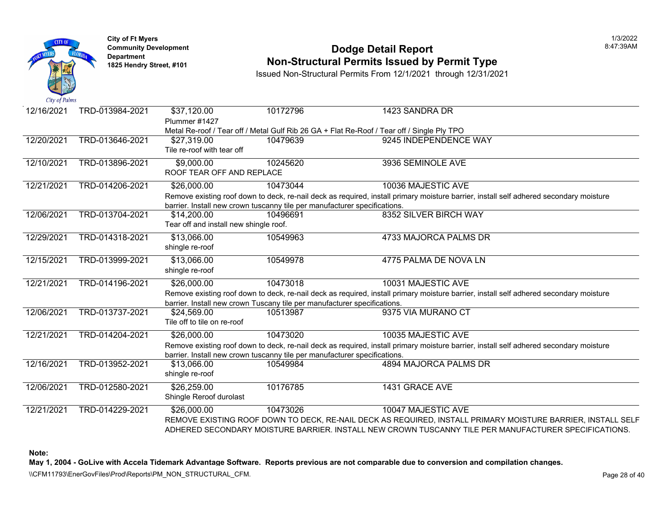

#### **Community Development Dodge Detail Report** 8:47:39AM **1825 Non-Structural Permits Issued by Permit Type**

Issued Non-Structural Permits From 12/1/2021 through 12/31/2021

| Cay of Fallis |                 |                                                                           |          |                                                                                                                                        |
|---------------|-----------------|---------------------------------------------------------------------------|----------|----------------------------------------------------------------------------------------------------------------------------------------|
| 12/16/2021    | TRD-013984-2021 | \$37,120.00                                                               | 10172796 | 1423 SANDRA DR                                                                                                                         |
|               |                 | Plummer #1427                                                             |          |                                                                                                                                        |
|               |                 |                                                                           |          | Metal Re-roof / Tear off / Metal Gulf Rib 26 GA + Flat Re-Roof / Tear off / Single Ply TPO                                             |
| 12/20/2021    | TRD-013646-2021 | \$27,319.00                                                               | 10479639 | 9245 INDEPENDENCE WAY                                                                                                                  |
|               |                 | Tile re-roof with tear off                                                |          |                                                                                                                                        |
| 12/10/2021    | TRD-013896-2021 | \$9,000.00                                                                | 10245620 | 3936 SEMINOLE AVE                                                                                                                      |
|               |                 | ROOF TEAR OFF AND REPLACE                                                 |          |                                                                                                                                        |
| 12/21/2021    | TRD-014206-2021 | \$26,000.00                                                               | 10473044 | 10036 MAJESTIC AVE                                                                                                                     |
|               |                 |                                                                           |          |                                                                                                                                        |
|               |                 | barrier. Install new crown tuscanny tile per manufacturer specifications. |          | Remove existing roof down to deck, re-nail deck as required, install primary moisture barrier, install self adhered secondary moisture |
| 12/06/2021    | TRD-013704-2021 | \$14,200.00                                                               | 10496691 | 8352 SILVER BIRCH WAY                                                                                                                  |
|               |                 | Tear off and install new shingle roof.                                    |          |                                                                                                                                        |
|               |                 |                                                                           |          |                                                                                                                                        |
| 12/29/2021    | TRD-014318-2021 | \$13,066.00                                                               | 10549963 | 4733 MAJORCA PALMS DR                                                                                                                  |
|               |                 | shingle re-roof                                                           |          |                                                                                                                                        |
| 12/15/2021    | TRD-013999-2021 | \$13,066.00                                                               | 10549978 | 4775 PALMA DE NOVA LN                                                                                                                  |
|               |                 | shingle re-roof                                                           |          |                                                                                                                                        |
| 12/21/2021    | TRD-014196-2021 | \$26,000.00                                                               | 10473018 | 10031 MAJESTIC AVE                                                                                                                     |
|               |                 |                                                                           |          | Remove existing roof down to deck, re-nail deck as required, install primary moisture barrier, install self adhered secondary moisture |
|               |                 | barrier. Install new crown Tuscany tile per manufacturer specifications.  |          |                                                                                                                                        |
| 12/06/2021    | TRD-013737-2021 | \$24,569.00                                                               | 10513987 | 9375 VIA MURANO CT                                                                                                                     |
|               |                 | Tile off to tile on re-roof                                               |          |                                                                                                                                        |
| 12/21/2021    | TRD-014204-2021 | \$26,000.00                                                               | 10473020 | 10035 MAJESTIC AVE                                                                                                                     |
|               |                 |                                                                           |          | Remove existing roof down to deck, re-nail deck as required, install primary moisture barrier, install self adhered secondary moisture |
|               |                 | barrier. Install new crown tuscanny tile per manufacturer specifications. |          |                                                                                                                                        |
| 12/16/2021    | TRD-013952-2021 | \$13,066.00                                                               | 10549984 | <b>4894 MAJORCA PALMS DR</b>                                                                                                           |
|               |                 | shingle re-roof                                                           |          |                                                                                                                                        |
| 12/06/2021    | TRD-012580-2021 | \$26,259.00                                                               | 10176785 | 1431 GRACE AVE                                                                                                                         |
|               |                 | Shingle Reroof durolast                                                   |          |                                                                                                                                        |
|               |                 |                                                                           |          |                                                                                                                                        |
| 12/21/2021    | TRD-014229-2021 | \$26,000.00                                                               | 10473026 | 10047 MAJESTIC AVE                                                                                                                     |
|               |                 |                                                                           |          | REMOVE EXISTING ROOF DOWN TO DECK, RE-NAIL DECK AS REQUIRED, INSTALL PRIMARY MOISTURE BARRIER, INSTALL SELF                            |
|               |                 |                                                                           |          | ADHERED SECONDARY MOISTURE BARRIER. INSTALL NEW CROWN TUSCANNY TILE PER MANUFACTURER SPECIFICATIONS.                                   |

**Note:** 

**May 1, 2004 - GoLive with Accela Tidemark Advantage Software. Reports previous are not comparable due to conversion and compilation changes.** 

\\CFM11793\EnerGovFiles\Prod\Reports\PM\_NON\_STRUCTURAL\_CFM.<br>Rage 28 of 40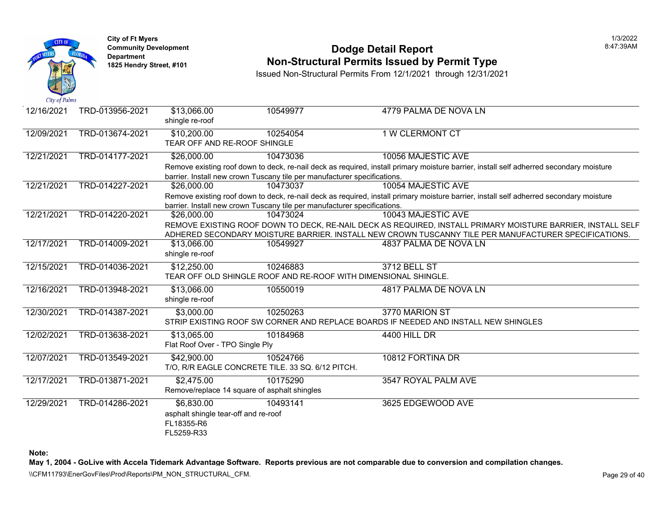

#### **Community Development Dodge Detail Report** 8:47:39AM **1825 Non-Structural Permits Issued by Permit Type**

Issued Non-Structural Permits From 12/1/2021 through 12/31/2021

| 12/16/2021 | TRD-013956-2021 | \$13,066.00<br>shingle re-roof              | 10549977                                                                    | 4779 PALMA DE NOVA LN                                                                                                                                                                                               |
|------------|-----------------|---------------------------------------------|-----------------------------------------------------------------------------|---------------------------------------------------------------------------------------------------------------------------------------------------------------------------------------------------------------------|
| 12/09/2021 | TRD-013674-2021 | \$10,200.00<br>TEAR OFF AND RE-ROOF SHINGLE | 10254054                                                                    | 1 W CLERMONT CT                                                                                                                                                                                                     |
| 12/21/2021 | TRD-014177-2021 | \$26,000.00                                 | 10473036                                                                    | 10056 MAJESTIC AVE                                                                                                                                                                                                  |
|            |                 |                                             |                                                                             | Remove existing roof down to deck, re-nail deck as required, install primary moisture barrier, install self adherred secondary moisture                                                                             |
|            |                 |                                             | barrier. Install new crown Tuscany tile per manufacturer specifications.    |                                                                                                                                                                                                                     |
| 12/21/2021 | TRD-014227-2021 | \$26,000.00                                 | 10473037                                                                    | 10054 MAJESTIC AVE                                                                                                                                                                                                  |
|            |                 |                                             |                                                                             | Remove existing roof down to deck, re-nail deck as required, install primary moisture barrier, install self adherred secondary moisture                                                                             |
|            |                 |                                             | barrier. Install new crown Tuscany tile per manufacturer specifications.    |                                                                                                                                                                                                                     |
| 12/21/2021 | TRD-014220-2021 | \$26,000.00                                 | 10473024                                                                    | 10043 MAJESTIC AVE                                                                                                                                                                                                  |
|            |                 |                                             |                                                                             | REMOVE EXISTING ROOF DOWN TO DECK, RE-NAIL DECK AS REQUIRED, INSTALL PRIMARY MOISTURE BARRIER, INSTALL SELF<br>ADHERED SECONDARY MOISTURE BARRIER. INSTALL NEW CROWN TUSCANNY TILE PER MANUFACTURER SPECIFICATIONS. |
| 12/17/2021 | TRD-014009-2021 | \$13,066.00<br>shingle re-roof              | 10549927                                                                    | 4837 PALMA DE NOVA LN                                                                                                                                                                                               |
| 12/15/2021 | TRD-014036-2021 | \$12,250.00                                 | 10246883<br>TEAR OFF OLD SHINGLE ROOF AND RE-ROOF WITH DIMENSIONAL SHINGLE. | 3712 BELL ST                                                                                                                                                                                                        |
| 12/16/2021 | TRD-013948-2021 | \$13,066.00<br>shingle re-roof              | 10550019                                                                    | 4817 PALMA DE NOVA LN                                                                                                                                                                                               |
| 12/30/2021 | TRD-014387-2021 | \$3,000.00                                  | 10250263                                                                    | 3770 MARION ST                                                                                                                                                                                                      |
|            |                 |                                             |                                                                             | STRIP EXISTING ROOF SW CORNER AND REPLACE BOARDS IF NEEDED AND INSTALL NEW SHINGLES                                                                                                                                 |
| 12/02/2021 | TRD-013638-2021 | \$13,065.00                                 | 10184968                                                                    | 4400 HILL DR                                                                                                                                                                                                        |
|            |                 | Flat Roof Over - TPO Single Ply             |                                                                             |                                                                                                                                                                                                                     |
| 12/07/2021 | TRD-013549-2021 | \$42,900.00                                 | 10524766                                                                    | 10812 FORTINA DR                                                                                                                                                                                                    |
|            |                 |                                             | T/O, R/R EAGLE CONCRETE TILE. 33 SQ. 6/12 PITCH.                            |                                                                                                                                                                                                                     |
| 12/17/2021 | TRD-013871-2021 | \$2,475.00                                  | 10175290                                                                    | 3547 ROYAL PALM AVE                                                                                                                                                                                                 |
|            |                 |                                             | Remove/replace 14 square of asphalt shingles                                |                                                                                                                                                                                                                     |
| 12/29/2021 | TRD-014286-2021 | \$6,830.00                                  | 10493141                                                                    | 3625 EDGEWOOD AVE                                                                                                                                                                                                   |
|            |                 | asphalt shingle tear-off and re-roof        |                                                                             |                                                                                                                                                                                                                     |
|            |                 | FL18355-R6                                  |                                                                             |                                                                                                                                                                                                                     |
|            |                 | FL5259-R33                                  |                                                                             |                                                                                                                                                                                                                     |

**Note:** 

**May 1, 2004 - GoLive with Accela Tidemark Advantage Software. Reports previous are not comparable due to conversion and compilation changes.** 

\\CFM11793\EnerGovFiles\Prod\Reports\PM\_NON\_STRUCTURAL\_CFM.<br>Rage 29 of 40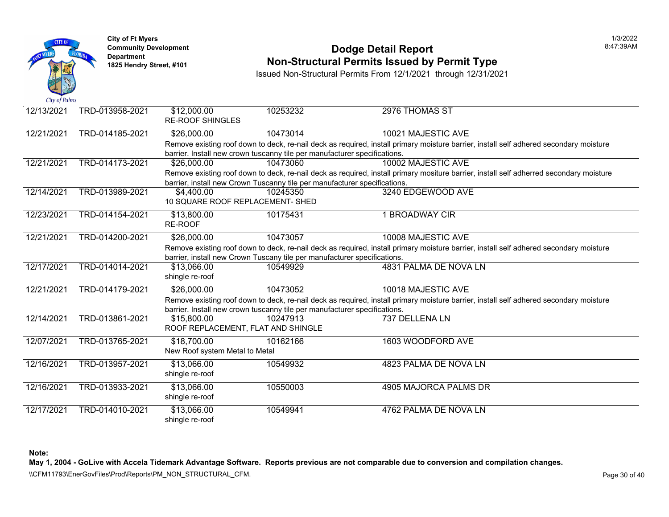

## **Community Development Community Development Community Development Non-Structural Permits Issued by Permit Type**

Issued Non-Structural Permits From 12/1/2021 through 12/31/2021

| 12/13/2021 | TRD-013958-2021 | \$12,000.00<br><b>RE-ROOF SHINGLES</b>                                                   | 10253232 | 2976 THOMAS ST                                                                                                                      |
|------------|-----------------|------------------------------------------------------------------------------------------|----------|-------------------------------------------------------------------------------------------------------------------------------------|
| 12/21/2021 | TRD-014185-2021 | \$26,000.00<br>barrier. Install new crown tuscanny tile per manufacturer specifications. | 10473014 | 10021 MAJESTIC AVE<br>Remove existing roof down to deck, re-nail deck as required, install primary moisture barrier, install self a |
| 12/21/2021 | TRD-014173-2021 | \$26,000.00<br>barrier, install new Crown Tuscanny tile per manufacturer specifications. | 10473060 | 10002 MAJESTIC AVE<br>Remove existing roof down to deck, re-nail deck as required, install primary mositure barrier, install self a |
| 12/14/2021 | TRD-013989-2021 | \$4,400.00<br>10 SQUARE ROOF REPLACEMENT- SHED                                           | 10245350 | 3240 EDGEWOOD AVE                                                                                                                   |
| 12/23/2021 | TRD-014154-2021 | \$13,800.00<br>RE-ROOF                                                                   | 10175431 | 1 BROADWAY CIR                                                                                                                      |
| 12/21/2021 | TRD-014200-2021 | \$26,000.00<br>barrier, install new Crown Tuscany tile per manufacturer specifications.  | 10473057 | 10008 MAJESTIC AVE<br>Remove existing roof down to deck, re-nail deck as required, install primary moisture barrier, install self a |
| 12/17/2021 | TRD-014014-2021 | \$13,066.00<br>shingle re-roof                                                           | 10549929 | 4831 PALMA DE NOVA LN                                                                                                               |
| 12/21/2021 | TRD-014179-2021 | \$26,000.00<br>barrier. Install new crown tuscanny tile per manufacturer specifications. | 10473052 | 10018 MAJESTIC AVE<br>Remove existing roof down to deck, re-nail deck as required, install primary moisture barrier, install self a |
| 12/14/2021 | TRD-013861-2021 | \$15,800.00<br>ROOF REPLACEMENT, FLAT AND SHINGLE                                        | 10247913 | 737 DELLENA LN                                                                                                                      |
| 12/07/2021 | TRD-013765-2021 | \$18,700.00<br>New Roof system Metal to Metal                                            | 10162166 | 1603 WOODFORD AVE                                                                                                                   |
| 12/16/2021 | TRD-013957-2021 | \$13,066.00<br>shingle re-roof                                                           | 10549932 | 4823 PALMA DE NOVA LN                                                                                                               |
| 12/16/2021 | TRD-013933-2021 | \$13,066.00<br>shingle re-roof                                                           | 10550003 | 4905 MAJORCA PALMS DR                                                                                                               |
| 12/17/2021 | TRD-014010-2021 | \$13,066.00<br>shingle re-roof                                                           | 10549941 | 4762 PALMA DE NOVA LN                                                                                                               |

**Note:**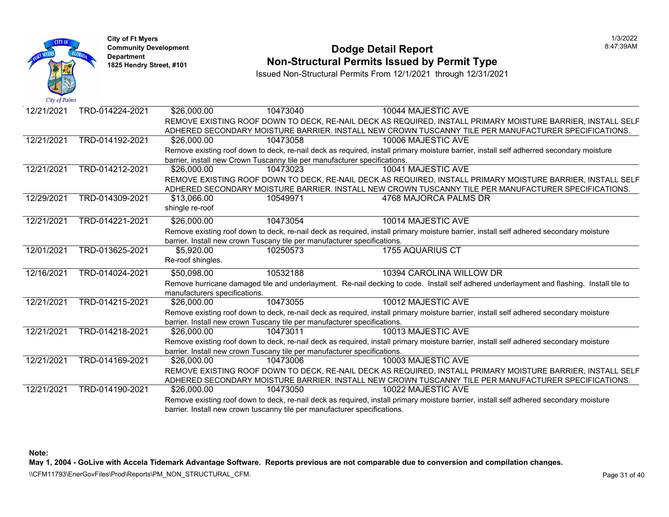

#### **Community Development Dodge Detail Report** 8:47:39AM **1825 Non-Structural Permits Issued by Permit Type**

Issued Non-Structural Permits From 12/1/2021 through 12/31/2021

| 12/21/2021 | TRD-014224-2021 | \$26,000.00                   | 10473040                                                                  | 10044 MAJESTIC AVE                                                                                                                       |
|------------|-----------------|-------------------------------|---------------------------------------------------------------------------|------------------------------------------------------------------------------------------------------------------------------------------|
|            |                 |                               |                                                                           | REMOVE EXISTING ROOF DOWN TO DECK, RE-NAIL DECK AS REQUIRED, INSTALL PRIMARY MOISTURE BARRIER, INSTALL SELF                              |
|            |                 |                               |                                                                           | ADHERED SECONDARY MOISTURE BARRIER. INSTALL NEW CROWN TUSCANNY TILE PER MANUFACTURER SPECIFICATIONS.                                     |
| 12/21/2021 | TRD-014192-2021 | \$26,000.00                   | 10473058                                                                  | 10006 MAJESTIC AVE                                                                                                                       |
|            |                 |                               |                                                                           | Remove existing roof down to deck, re-nail deck as required, install primary moisture barrier, install self adherred secondary moisture  |
|            |                 |                               | barrier, install new Crown Tuscanny tile per manufacturer specifications. |                                                                                                                                          |
| 12/21/2021 | TRD-014212-2021 | \$26,000.00                   | 10473023                                                                  | 10041 MAJESTIC AVE                                                                                                                       |
|            |                 |                               |                                                                           | REMOVE EXISTING ROOF DOWN TO DECK, RE-NAIL DECK AS REQUIRED, INSTALL PRIMARY MOISTURE BARRIER, INSTALL SELF                              |
|            |                 |                               |                                                                           | ADHERED SECONDARY MOISTURE BARRIER. INSTALL NEW CROWN TUSCANNY TILE PER MANUFACTURER SPECIFICATIONS.                                     |
| 12/29/2021 | TRD-014309-2021 | \$13,066.00                   | 10549971                                                                  | 4768 MAJORCA PALMS DR                                                                                                                    |
|            |                 | shingle re-roof               |                                                                           |                                                                                                                                          |
| 12/21/2021 | TRD-014221-2021 | \$26,000.00                   | 10473054                                                                  | 10014 MAJESTIC AVE                                                                                                                       |
|            |                 |                               |                                                                           | Remove existing roof down to deck, re-nail deck as required, install primary moisture barrier, install self adhered secondary moisture   |
|            |                 |                               | barrier. Install new crown Tuscany tile per manufacturer specifications.  |                                                                                                                                          |
| 12/01/2021 | TRD-013625-2021 | \$5,920.00                    | 10250573                                                                  | 1755 AQUARIUS CT                                                                                                                         |
|            |                 | Re-roof shingles.             |                                                                           |                                                                                                                                          |
| 12/16/2021 | TRD-014024-2021 | \$50,098.00                   | 10532188                                                                  | 10394 CAROLINA WILLOW DR                                                                                                                 |
|            |                 |                               |                                                                           | Remove hurricane damaged tile and underlayment. Re-nail decking to code. Install self adhered underlayment and flashing. Install tile to |
|            |                 | manufacturers specifications. |                                                                           |                                                                                                                                          |
| 12/21/2021 | TRD-014215-2021 | \$26,000.00                   | 10473055                                                                  | 10012 MAJESTIC AVE                                                                                                                       |
|            |                 |                               |                                                                           | Remove existing roof down to deck, re-nail deck as required, install primary moisture barrier, install self adhered secondary moisture   |
|            |                 |                               | barrier. Install new crown Tuscany tile per manufacturer specifications.  |                                                                                                                                          |
| 12/21/2021 | TRD-014218-2021 | \$26,000.00                   | 10473011                                                                  | 10013 MAJESTIC AVE                                                                                                                       |
|            |                 |                               |                                                                           | Remove existing roof down to deck, re-nail deck as required, install primary moisture barrier, install self adhered secondary moisture   |
|            |                 |                               | barrier. Install new crown Tuscany tile per manufacturer specifications.  |                                                                                                                                          |
| 12/21/2021 | TRD-014169-2021 | \$26,000.00                   | 10473006                                                                  | 10003 MAJESTIC AVE                                                                                                                       |
|            |                 |                               |                                                                           | REMOVE EXISTING ROOF DOWN TO DECK, RE-NAIL DECK AS REQUIRED, INSTALL PRIMARY MOISTURE BARRIER, INSTALL SELF                              |
|            |                 |                               |                                                                           | ADHERED SECONDARY MOISTURE BARRIER. INSTALL NEW CROWN TUSCANNY TILE PER MANUFACTURER SPECIFICATIONS.                                     |
| 12/21/2021 | TRD-014190-2021 | \$26,000,00                   | 10473050                                                                  | 10022 MAJESTIC AVE                                                                                                                       |
|            |                 |                               |                                                                           | Remove existing roof down to deck, re-nail deck as required, install primary moisture barrier, install self adhered secondary moisture   |
|            |                 |                               | barrier. Install new crown tuscanny tile per manufacturer specifications. |                                                                                                                                          |

**Note:** 

**May 1, 2004 - GoLive with Accela Tidemark Advantage Software. Reports previous are not comparable due to conversion and compilation changes.** 

\\CFM11793\EnerGovFiles\Prod\Reports\PM\_NON\_STRUCTURAL\_CFM.<br>Rage 31 of 40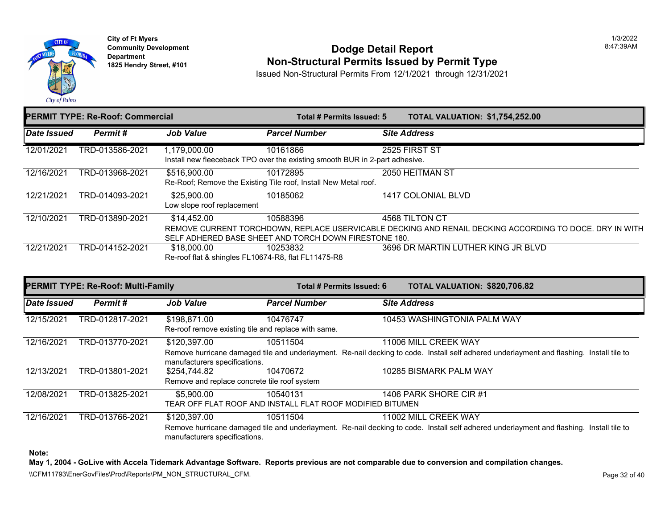

**City of Ft Myers Community Development Department 1825 Hendry Street, #101** 

#### **Dodge Detail Report Non-Structural Permits Issued by Permit Type**

Issued Non-Structural Permits From 12/1/2021 through 12/31/2021

|             | <b>PERMIT TYPE: Re-Roof: Commercial</b> |                                                     | Total # Permits Issued: 5                                                   | <b>TOTAL VALUATION: \$1,754,252.00</b>                                                                  |
|-------------|-----------------------------------------|-----------------------------------------------------|-----------------------------------------------------------------------------|---------------------------------------------------------------------------------------------------------|
| Date Issued | Permit#                                 | <b>Job Value</b>                                    | <b>Parcel Number</b>                                                        | <b>Site Address</b>                                                                                     |
| 12/01/2021  | TRD-013586-2021                         | 1,179,000.00                                        | 10161866                                                                    | 2525 FIRST ST                                                                                           |
|             |                                         |                                                     | Install new fleeceback TPO over the existing smooth BUR in 2-part adhesive. |                                                                                                         |
| 12/16/2021  | TRD-013968-2021                         | \$516,900.00                                        | 10172895                                                                    | 2050 HEITMAN ST                                                                                         |
|             |                                         |                                                     | Re-Roof; Remove the Existing Tile roof, Install New Metal roof.             |                                                                                                         |
| 12/21/2021  | TRD-014093-2021                         | \$25,900.00                                         | 10185062                                                                    | 1417 COLONIAL BLVD                                                                                      |
|             |                                         | Low slope roof replacement                          |                                                                             |                                                                                                         |
| 12/10/2021  | TRD-013890-2021                         | \$14,452.00                                         | 10588396                                                                    | 4568 TILTON CT                                                                                          |
|             |                                         |                                                     |                                                                             | REMOVE CURRENT TORCHDOWN, REPLACE USERVICABLE DECKING AND RENAIL DECKING ACCORDING TO DOCE. DRY IN WITH |
|             |                                         |                                                     | SELF ADHERED BASE SHEET AND TORCH DOWN FIRESTONE 180.                       |                                                                                                         |
| 12/21/2021  | TRD-014152-2021                         | \$18,000.00                                         | 10253832                                                                    | 3696 DR MARTIN LUTHER KING JR BLVD                                                                      |
|             |                                         | Re-roof flat & shingles FL10674-R8, flat FL11475-R8 |                                                                             |                                                                                                         |
|             |                                         |                                                     |                                                                             |                                                                                                         |

|             | <b>PERMIT TYPE: Re-Roof: Multi-Family</b> |                                                                     |                      | Total # Permits Issued: 6 | TOTAL VALUATION: \$820,706.82                                                                                                            |
|-------------|-------------------------------------------|---------------------------------------------------------------------|----------------------|---------------------------|------------------------------------------------------------------------------------------------------------------------------------------|
| Date Issued | Permit#                                   | <b>Job Value</b>                                                    | <b>Parcel Number</b> |                           | <b>Site Address</b>                                                                                                                      |
| 12/15/2021  | TRD-012817-2021                           | \$198,871.00<br>Re-roof remove existing tile and replace with same. | 10476747             |                           | 10453 WASHINGTONIA PALM WAY                                                                                                              |
| 12/16/2021  | TRD-013770-2021                           | \$120,397.00                                                        | 10511504             |                           | 11006 MILL CREEK WAY                                                                                                                     |
|             |                                           | manufacturers specifications.                                       |                      |                           | Remove hurricane damaged tile and underlayment. Re-nail decking to code. Install self adhered underlayment and flashing. Install tile to |
| 12/13/2021  | TRD-013801-2021                           | \$254.744.82                                                        | 10470672             |                           | 10285 BISMARK PALM WAY                                                                                                                   |
|             |                                           | Remove and replace concrete tile roof system                        |                      |                           |                                                                                                                                          |
| 12/08/2021  | TRD-013825-2021                           | \$5,900.00                                                          | 10540131             |                           | 1406 PARK SHORE CIR #1                                                                                                                   |
|             |                                           | TEAR OFF FLAT ROOF AND INSTALL FLAT ROOF MODIFIED BITUMEN           |                      |                           |                                                                                                                                          |
| 12/16/2021  | TRD-013766-2021                           | \$120,397.00                                                        | 10511504             |                           | 11002 MILL CREEK WAY                                                                                                                     |
|             |                                           | manufacturers specifications.                                       |                      |                           | Remove hurricane damaged tile and underlayment. Re-nail decking to code. Install self adhered underlayment and flashing. Install tile to |

**Note:** 

**May 1, 2004 - GoLive with Accela Tidemark Advantage Software. Reports previous are not comparable due to conversion and compilation changes.** 

\\CFM11793\EnerGovFiles\Prod\Reports\PM\_NON\_STRUCTURAL\_CFM.<br>Rage 32 of 40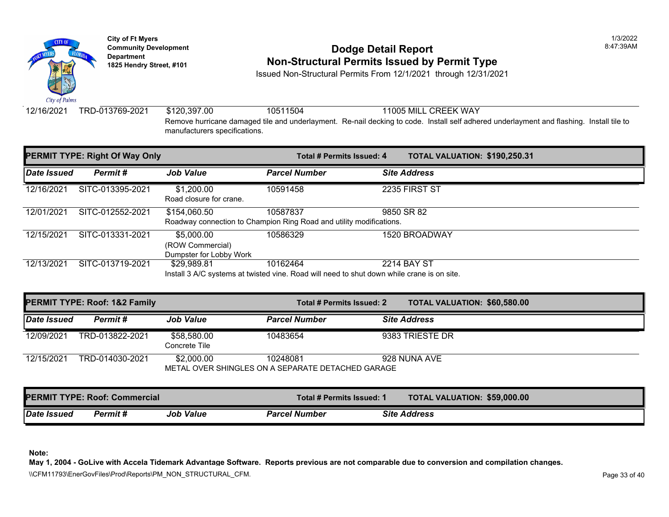

### **Community Development Community Development Community Development 1825 Hendry Street, #101 Non-Structural Permits Issued by Permit Type**

Issued Non-Structural Permits From 12/1/2021 through 12/31/2021

12/16/2021 TRD-013769-2021 \$120,397.00 10511504 11005 MILL CREEK WAY Remove hurricane damaged tile and underlayment. Re-nail decking to code. Install self adhered underla manufacturers specifications.

|             | <b>PERMIT TYPE: Right Of Way Only</b> |                                                                                                           | <b>Total # Permits Issued: 4</b> | <b>TOTAL VALUATION: \$190,25</b> |  |
|-------------|---------------------------------------|-----------------------------------------------------------------------------------------------------------|----------------------------------|----------------------------------|--|
| Date Issued | Permit#                               | <b>Job Value</b>                                                                                          | <b>Parcel Number</b>             | <b>Site Address</b>              |  |
| 12/16/2021  | SITC-013395-2021                      | \$1,200.00<br>Road closure for crane.                                                                     | 10591458                         | 2235 FIRST ST                    |  |
| 12/01/2021  | SITC-012552-2021                      | \$154,060.50<br>Roadway connection to Champion Ring Road and utility modifications.                       | 10587837                         | 9850 SR 82                       |  |
| 12/15/2021  | SITC-013331-2021                      | \$5,000.00<br>(ROW Commercial)<br>Dumpster for Lobby Work                                                 | 10586329                         | 1520 BROADWAY                    |  |
| 12/13/2021  | SITC-013719-2021                      | \$29,989.81<br>Install 3 A/C systems at twisted vine. Road will need to shut down while crane is on site. | 10162464                         | 2214 BAY ST                      |  |

Install 3 A/C systems at twisted vine. Road will need to shut down while crane is on site.

|             | <b>PERMIT TYPE: Roof: 1&amp;2 Family</b> |                              | Total # Permits Issued: 2                                     | <b>TOTAL VALUATION: \$60,580</b> |  |
|-------------|------------------------------------------|------------------------------|---------------------------------------------------------------|----------------------------------|--|
| Date Issued | Permit #                                 | <b>Job Value</b>             | <b>Parcel Number</b>                                          | <b>Site Address</b>              |  |
| 12/09/2021  | TRD-013822-2021                          | \$58,580.00<br>Concrete Tile | 10483654                                                      | 9383 TRIESTE DR                  |  |
| 12/15/2021  | TRD-014030-2021                          | \$2,000.00                   | 10248081<br>METAL OVER SHINGLES ON A SEPARATE DETACHED GARAGE | 928 NUNA AVE                     |  |

| <b>PERMIT TYPE: Roof: Commercial</b> |          |           | Total # Permits Issued: 1 | <b>TOTAL VALUATION: \$59,000</b> |
|--------------------------------------|----------|-----------|---------------------------|----------------------------------|
| Date Issued                          | Permit # | Job Value | <b>Parcel Number</b>      | <b>Site Address</b>              |

**Note:**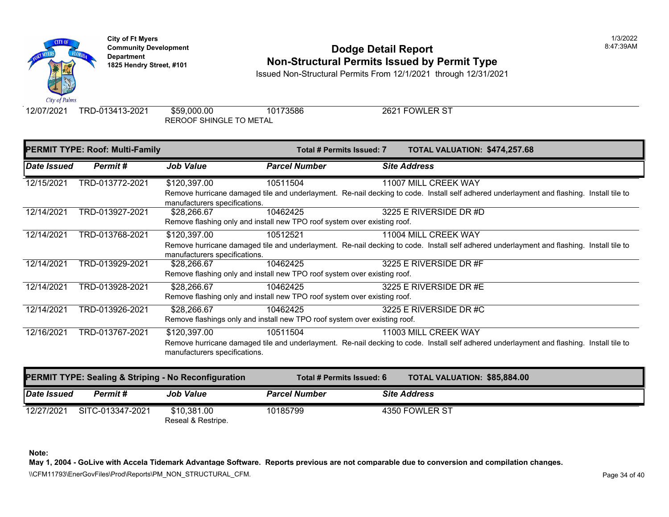

# **Community Development** 8:47:39AM **Dodge Detail Report Department Non-Structural Permits Issued by Permit Type 1825 Hendry Street, #101**

Issued Non-Structural Permits From 12/1/2021 through 12/31/2021

12/07/2021 TRD-013413-2021 \$59,000.00 10173586 2621 FOWLER ST REROOF SHINGLE TO METAL

|             | <b>PERMIT TYPE: Roof: Multi-Family</b> |                                                                                          |                      | <b>Total # Permits Issued: 7</b> | <b>TOTAL VALUATION: \$474,25</b>                                                                                              |
|-------------|----------------------------------------|------------------------------------------------------------------------------------------|----------------------|----------------------------------|-------------------------------------------------------------------------------------------------------------------------------|
| Date Issued | Permit#                                | <b>Job Value</b>                                                                         | <b>Parcel Number</b> |                                  | <b>Site Address</b>                                                                                                           |
| 12/15/2021  | TRD-013772-2021                        | \$120,397.00                                                                             | 10511504             |                                  | 11007 MILL CREEK WAY<br>Remove hurricane damaged tile and underlayment. Re-nail decking to code. Install self adhered underla |
|             |                                        | manufacturers specifications.                                                            |                      |                                  |                                                                                                                               |
| 12/14/2021  | TRD-013927-2021                        | \$28,266.67<br>Remove flashing only and install new TPO roof system over existing roof.  | 10462425             |                                  | 3225 E RIVERSIDE DR #D                                                                                                        |
| 12/14/2021  | TRD-013768-2021                        | \$120,397.00                                                                             | 10512521             |                                  | 11004 MILL CREEK WAY<br>Remove hurricane damaged tile and underlayment. Re-nail decking to code. Install self adhered underla |
|             |                                        | manufacturers specifications.                                                            |                      |                                  |                                                                                                                               |
| 12/14/2021  | TRD-013929-2021                        | \$28,266.67<br>Remove flashing only and install new TPO roof system over existing roof.  | 10462425             |                                  | 3225 E RIVERSIDE DR #F                                                                                                        |
| 12/14/2021  | TRD-013928-2021                        | \$28,266.67<br>Remove flashing only and install new TPO roof system over existing roof.  | 10462425             |                                  | 3225 E RIVERSIDE DR #E                                                                                                        |
| 12/14/2021  | TRD-013926-2021                        | \$28,266.67<br>Remove flashings only and install new TPO roof system over existing roof. | 10462425             |                                  | 3225 E RIVERSIDE DR #C                                                                                                        |
| 12/16/2021  | TRD-013767-2021                        | \$120,397.00<br>manufacturers specifications.                                            | 10511504             |                                  | 11003 MILL CREEK WAY<br>Remove hurricane damaged tile and underlayment. Re-nail decking to code. Install self adhered underla |

|             |                  | <b>PERMIT TYPE: Sealing &amp; Striping - No Reconfiguration</b> | Total # Permits Issued: 6 | <b>TOTAL VALUATION: \$85,884</b> |  |
|-------------|------------------|-----------------------------------------------------------------|---------------------------|----------------------------------|--|
| Date Issued | Permit #         | <b>Job Value</b>                                                | <b>Parcel Number</b>      | <b>Site Address</b>              |  |
| 12/27/2021  | SITC-013347-2021 | \$10,381.00<br>Reseal & Restripe.                               | 10185799                  | 4350 FOWLER ST                   |  |

**Note:**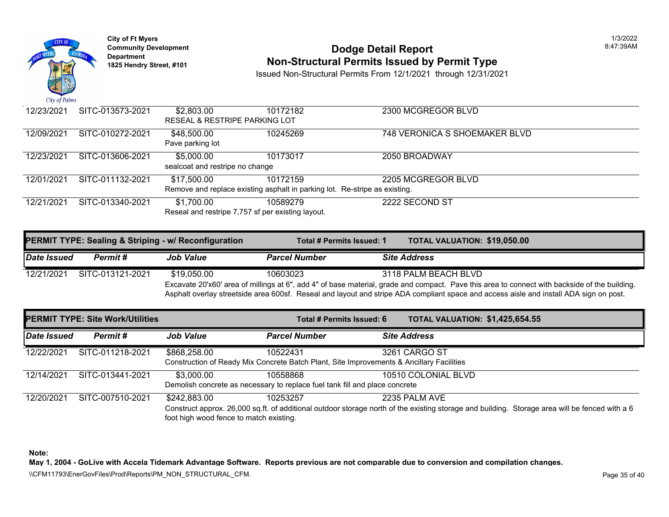

# **Community Development** 8:47:39AM **Dodge Detail Report Department Non-Structural Permits Issued by Permit Type 1825 Hendry Street, #101**

Issued Non-Structural Permits From 12/1/2021 through 12/31/2021

| 12/23/2021 | SITC-013573-2021 | \$2,803.00                                                                 | 10172182 | 2300 MCGREGOR BLVD          |
|------------|------------------|----------------------------------------------------------------------------|----------|-----------------------------|
|            |                  | <b>RESEAL &amp; RESTRIPE PARKING LOT</b>                                   |          |                             |
| 12/09/2021 | SITC-010272-2021 | \$48,500.00                                                                | 10245269 | 748 VERONICA S SHOEMAKER BI |
|            |                  | Pave parking lot                                                           |          |                             |
| 12/23/2021 | SITC-013606-2021 | \$5,000.00                                                                 | 10173017 | 2050 BROADWAY               |
|            |                  | sealcoat and restripe no change                                            |          |                             |
| 12/01/2021 | SITC-011132-2021 | \$17,500.00                                                                | 10172159 | 2205 MCGREGOR BLVD          |
|            |                  | Remove and replace existing asphalt in parking lot. Re-stripe as existing. |          |                             |
| 12/21/2021 | SITC-013340-2021 | \$1,700.00                                                                 | 10589279 | 2222 SECOND ST              |
|            |                  | Reseal and restripe 7,757 sf per existing layout.                          |          |                             |

| <b>PERMIT TYPE: Sealing &amp; Striping - w/ Reconfiguration</b> |                  |                  | <b>TOTAL VALUATION: \$19,050</b><br>Total # Permits Issued: 1                                             |  |                      |  |  |
|-----------------------------------------------------------------|------------------|------------------|-----------------------------------------------------------------------------------------------------------|--|----------------------|--|--|
| Date Issued                                                     | Permit #         | <b>Job Value</b> | <b>Parcel Number</b>                                                                                      |  | <b>Site Address</b>  |  |  |
| 12/21/2021                                                      | SITC-013121-2021 | \$19.050.00      | 10603023                                                                                                  |  | 3118 PALM BEACH BLVD |  |  |
|                                                                 |                  |                  | Excavate 20'x60' area of millings at 6", add 4" of base material, grade and compact. Pave this area to co |  |                      |  |  |
|                                                                 |                  |                  | Asphalt overlay streetside area 600sf. Reseal and layout and stripe ADA compliant space and access ai:    |  |                      |  |  |

| <b>PERMIT TYPE: Site Work/Utilities</b> |                  |                                                         | Total # Permits Issued: 6                                                                            | <b>TOTAL VALUATION: \$1,425,6</b>                                                                                            |
|-----------------------------------------|------------------|---------------------------------------------------------|------------------------------------------------------------------------------------------------------|------------------------------------------------------------------------------------------------------------------------------|
| Date Issued                             | Permit#          | <b>Job Value</b>                                        | <b>Parcel Number</b>                                                                                 | <b>Site Address</b>                                                                                                          |
| 12/22/2021                              | SITC-011218-2021 | \$868,258.00                                            | 10522431<br>Construction of Ready Mix Concrete Batch Plant, Site Improvements & Ancillary Facilities | 3261 CARGO ST                                                                                                                |
| 12/14/2021                              | SITC-013441-2021 | \$3,000.00                                              | 10558868<br>Demolish concrete as necessary to replace fuel tank fill and place concrete              | 10510 COLONIAL BLVD                                                                                                          |
| 12/20/2021                              | SITC-007510-2021 | \$242,883.00<br>foot high wood fence to match existing. | 10253257                                                                                             | 2235 PALM AVE<br>Construct approx. 26,000 sq.ft. of additional outdoor storage north of the existing storage and building. S |

**Note:**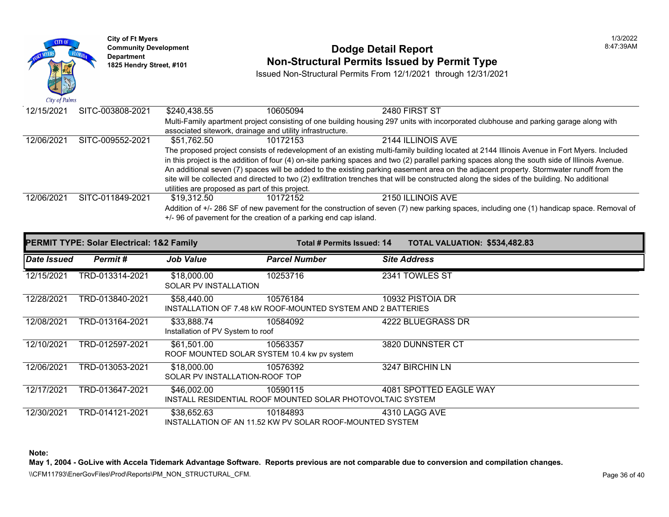

|             | <b>PERMIT TYPE: Solar Electrical: 1&amp;2 Family</b> |                                                            | Total # Permits Issued: 14                                              | <b>TOTAL VALUATION: \$534,48</b> |
|-------------|------------------------------------------------------|------------------------------------------------------------|-------------------------------------------------------------------------|----------------------------------|
| Date Issued | Permit#                                              | <b>Job Value</b>                                           | <b>Parcel Number</b>                                                    | <b>Site Address</b>              |
| 12/15/2021  | TRD-013314-2021                                      | \$18,000.00<br><b>SOLAR PV INSTALLATION</b>                | 10253716                                                                | 2341 TOWLES ST                   |
| 12/28/2021  | TRD-013840-2021                                      | \$58,440.00                                                | 10576184<br>INSTALLATION OF 7.48 KW ROOF-MOUNTED SYSTEM AND 2 BATTERIES | 10932 PISTOIA DR                 |
| 12/08/2021  | TRD-013164-2021                                      | \$33,888.74<br>Installation of PV System to roof           | 10584092                                                                | 4222 BLUEGRASS DR                |
| 12/10/2021  | TRD-012597-2021                                      | \$61,501.00<br>ROOF MOUNTED SOLAR SYSTEM 10.4 kw pv system | 10563357                                                                | 3820 DUNNSTER CT                 |
| 12/06/2021  | TRD-013053-2021                                      | \$18,000.00<br>SOLAR PV INSTALLATION-ROOF TOP              | 10576392                                                                | 3247 BIRCHIN LN                  |
| 12/17/2021  | TRD-013647-2021                                      | \$46,002.00                                                | 10590115<br>INSTALL RESIDENTIAL ROOF MOUNTED SOLAR PHOTOVOLTAIC SYSTEM  | 4081 SPOTTED EAGLE WAY           |
| 12/30/2021  | TRD-014121-2021                                      | \$38,652.63                                                | 10184893<br>INSTALLATION OF AN 11.52 KW PV SOLAR ROOF-MOUNTED SYSTEM    | 4310 LAGG AVE                    |

**Note:**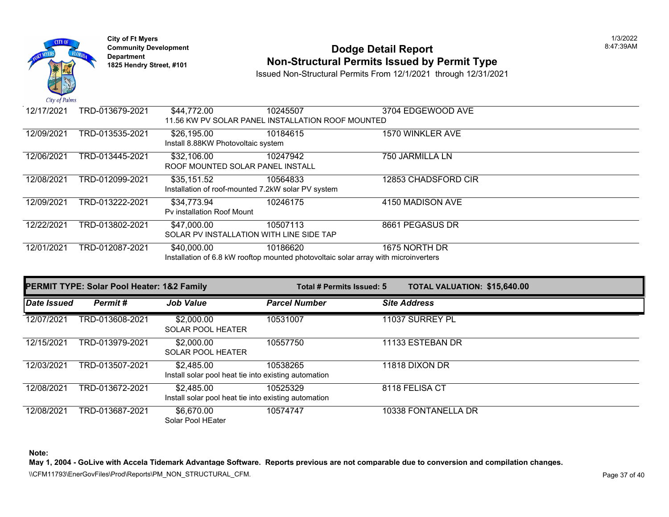

## **Community Development 18:47:39AM**<br>
Dodge Detail Report **Department** 18:47:39AM<br>
1825 Hendry Street, #101 **Non-Structural Permits Issued by Permit Type**

Issued Non-Structural Permits From 12/1/2021 through 12/31/2021

| 12/17/2021 | TRD-013679-2021 | \$44,772.00                                        | 10245507                                                                            | 3704 EDGEWOOD AVE   |
|------------|-----------------|----------------------------------------------------|-------------------------------------------------------------------------------------|---------------------|
|            |                 |                                                    | 11.56 KW PV SOLAR PANEL INSTALLATION ROOF MOUNTED                                   |                     |
| 12/09/2021 | TRD-013535-2021 | \$26,195.00                                        | 10184615                                                                            | 1570 WINKLER AVE    |
|            |                 | Install 8.88KW Photovoltaic system                 |                                                                                     |                     |
| 12/06/2021 | TRD-013445-2021 | \$32,106.00                                        | 10247942                                                                            | 750 JARMILLA LN     |
|            |                 | ROOF MOUNTED SOLAR PANEL INSTALL                   |                                                                                     |                     |
| 12/08/2021 | TRD-012099-2021 | \$35,151.52                                        | 10564833                                                                            | 12853 CHADSFORD CIR |
|            |                 | Installation of roof-mounted 7.2kW solar PV system |                                                                                     |                     |
| 12/09/2021 | TRD-013222-2021 | \$34,773.94                                        | 10246175                                                                            | 4150 MADISON AVE    |
|            |                 | Py installation Roof Mount                         |                                                                                     |                     |
| 12/22/2021 | TRD-013802-2021 | \$47,000.00                                        | 10507113                                                                            | 8661 PEGASUS DR     |
|            |                 | SOLAR PV INSTALLATION WITH LINE SIDE TAP           |                                                                                     |                     |
| 12/01/2021 | TRD-012087-2021 | \$40,000.00                                        | 10186620                                                                            | 1675 NORTH DR       |
|            |                 |                                                    | Installation of 6.8 kW rooftop mounted photovoltaic solar array with microinverters |                     |

| <b>PERMIT TYPE: Solar Pool Heater: 1&amp;2 Family</b> |                 |                                                                    | Total # Permits Issued: 5 | <b>TOTAL VALUATION: \$15,640.00</b> |
|-------------------------------------------------------|-----------------|--------------------------------------------------------------------|---------------------------|-------------------------------------|
| Date Issued                                           | Permit#         | <b>Job Value</b>                                                   | <b>Parcel Number</b>      | <b>Site Address</b>                 |
| 12/07/2021                                            | TRD-013608-2021 | \$2,000.00<br><b>SOLAR POOL HEATER</b>                             | 10531007                  | 11037 SURREY PL                     |
| 12/15/2021                                            | TRD-013979-2021 | \$2,000.00<br><b>SOLAR POOL HEATER</b>                             | 10557750                  | 11133 ESTEBAN DR                    |
| 12/03/2021                                            | TRD-013507-2021 | \$2.485.00<br>Install solar pool heat tie into existing automation | 10538265                  | 11818 DIXON DR                      |
| 12/08/2021                                            | TRD-013672-2021 | \$2,485.00<br>Install solar pool heat tie into existing automation | 10525329                  | 8118 FELISA CT                      |
| 12/08/2021                                            | TRD-013687-2021 | \$6,670.00<br>Solar Pool HEater                                    | 10574747                  | 10338 FONTANELLA DR                 |

**Note:** 

**May 1, 2004 - GoLive with Accela Tidemark Advantage Software. Reports previous are not comparable due to conversion and compilation changes.**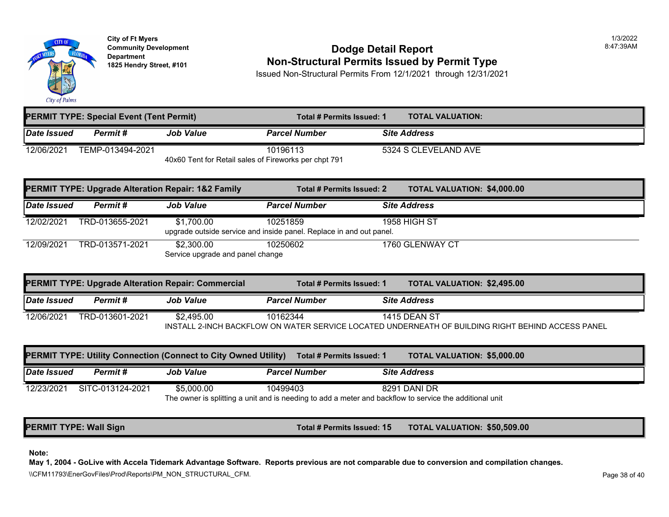

# **Community Development** 8:47:39AM **Dodge Detail Report Department Non-Structural Permits Issued by Permit Type 1825 Hendry Street, #101**

Issued Non-Structural Permits From 12/1/2021 through 12/31/2021

|             | <b>PERMIT TYPE: Special Event (Tent Permit)</b> |                                                       | Total # Permits Issued: 1 | <b>TOTAL VALUATION:</b> |
|-------------|-------------------------------------------------|-------------------------------------------------------|---------------------------|-------------------------|
| Date Issued | Permit #                                        | <b>Job Value</b>                                      | <b>Parcel Number</b>      | <b>Site Address</b>     |
| 12/06/2021  | TEMP-013494-2021                                |                                                       | 10196113                  | 5324 S CLEVELAND AVE    |
|             |                                                 | 40x60 Tent for Retail sales of Fireworks per chpt 791 |                           |                         |

|             |                 | <b>PERMIT TYPE: Upgrade Alteration Repair: 1&amp;2 Family</b> | Total # Permits Issued: 2                                                       | <b>TOTAL VALUATION: \$4,000.0</b> |
|-------------|-----------------|---------------------------------------------------------------|---------------------------------------------------------------------------------|-----------------------------------|
| Date Issued | Permit #        | <b>Job Value</b>                                              | <b>Parcel Number</b>                                                            | <b>Site Address</b>               |
| 12/02/2021  | TRD-013655-2021 | \$1,700.00                                                    | 10251859<br>upgrade outside service and inside panel. Replace in and out panel. | <b>1958 HIGH ST</b>               |
| 12/09/2021  | TRD-013571-2021 | \$2,300,00<br>Service upgrade and panel change                | 10250602                                                                        | 1760 GLENWAY CT                   |

| <b>PERMIT TYPE: Upgrade Alteration Repair: Commercial</b> |                 | <b>TOTAL VALUATION: \$2,495.0</b><br>Total # Permits Issued: 1 |                      |                                                                               |
|-----------------------------------------------------------|-----------------|----------------------------------------------------------------|----------------------|-------------------------------------------------------------------------------|
| Date Issued                                               | Permit #        | Job Value                                                      | <b>Parcel Number</b> | <b>Site Address</b>                                                           |
| 12/06/2021                                                | TRD-013601-2021 | \$2.495.00                                                     | 10162344             | <b>1415 DEAN ST</b>                                                           |
|                                                           |                 |                                                                |                      | INSTALL 2-INCH BACKFLOW ON WATER SERVICE LOCATED UNDERNEATH OF BUILDING RIGHT |

|             |                  | <b>PERMIT TYPE: Utility Connection (Connect to City Owned Utility)</b> | Total # Permits Issued: 1 | TOTAL VALUATION: \$5,000.                                                                                               |
|-------------|------------------|------------------------------------------------------------------------|---------------------------|-------------------------------------------------------------------------------------------------------------------------|
| Date Issued | Permit #         | <b>Job Value</b>                                                       | <b>Parcel Number</b>      | <b>Site Address</b>                                                                                                     |
| 12/23/2021  | SITC-013124-2021 | \$5,000.00                                                             | 10499403                  | 8291 DANI DR<br>The owner is splitting a unit and is needing to add a meter and backflow to service the additional unit |

**PERMIT TYPE: Wall Sign Total # Permits Issued: 15 TOTAL VALUATION: \$50,509.00** 

**Note:**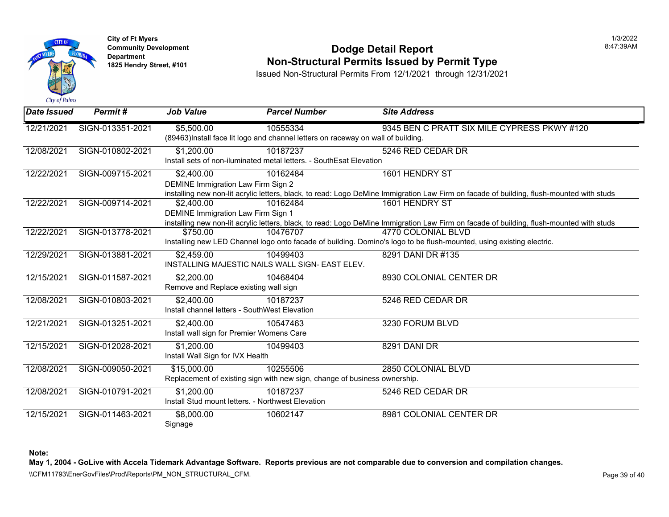

## **Community Development** 8:47:39AM **Dodge Detail Report Department Non-Structural Permits Issued by Permit Type 1825 Hendry Street, #101**

Issued Non-Structural Permits From 12/1/2021 through 12/31/2021

| Date Issued | Permit#          | <b>Job Value</b>                                  | <b>Parcel Number</b>                                                             | <b>Site Address</b>                                                                                         |
|-------------|------------------|---------------------------------------------------|----------------------------------------------------------------------------------|-------------------------------------------------------------------------------------------------------------|
| 12/21/2021  | SIGN-013351-2021 | \$5,500.00                                        | 10555334                                                                         | 9345 BEN C PRATT SIX MILE CYP                                                                               |
|             |                  |                                                   | (89463)Install face lit logo and channel letters on raceway on wall of building. |                                                                                                             |
| 12/08/2021  | SIGN-010802-2021 | \$1,200.00                                        | 10187237                                                                         | 5246 RED CEDAR DR                                                                                           |
|             |                  |                                                   | Install sets of non-iluminated metal letters. - SouthEsat Elevation              |                                                                                                             |
| 12/22/2021  | SIGN-009715-2021 | \$2,400.00                                        | 10162484                                                                         | 1601 HENDRY ST                                                                                              |
|             |                  | DEMINE Immigration Law Firm Sign 2                |                                                                                  |                                                                                                             |
|             |                  |                                                   |                                                                                  | installing new non-lit acrylic letters, black, to read: Logo DeMine Immigration Law Firm on facade of build |
| 12/22/2021  | SIGN-009714-2021 | \$2,400.00                                        | 10162484                                                                         | 1601 HENDRY ST                                                                                              |
|             |                  | <b>DEMINE Immigration Law Firm Sign 1</b>         |                                                                                  |                                                                                                             |
|             |                  |                                                   |                                                                                  | installing new non-lit acrylic letters, black, to read: Logo DeMine Immigration Law Firm on facade of build |
| 12/22/2021  | SIGN-013778-2021 | \$750.00                                          | 10476707                                                                         | 4770 COLONIAL BLVD                                                                                          |
|             |                  |                                                   |                                                                                  | Installing new LED Channel logo onto facade of building. Domino's logo to be flush-mounted, using existi    |
| 12/29/2021  | SIGN-013881-2021 | \$2,459.00                                        | 10499403                                                                         | 8291 DANI DR #135                                                                                           |
|             |                  |                                                   | INSTALLING MAJESTIC NAILS WALL SIGN- EAST ELEV.                                  |                                                                                                             |
| 12/15/2021  | SIGN-011587-2021 | \$2,200.00                                        | 10468404                                                                         | 8930 COLONIAL CENTER DR                                                                                     |
|             |                  | Remove and Replace existing wall sign             |                                                                                  |                                                                                                             |
| 12/08/2021  | SIGN-010803-2021 | \$2,400.00                                        | 10187237                                                                         | 5246 RED CEDAR DR                                                                                           |
|             |                  | Install channel letters - SouthWest Elevation     |                                                                                  |                                                                                                             |
| 12/21/2021  | SIGN-013251-2021 | \$2,400.00                                        | 10547463                                                                         | 3230 FORUM BLVD                                                                                             |
|             |                  | Install wall sign for Premier Womens Care         |                                                                                  |                                                                                                             |
| 12/15/2021  | SIGN-012028-2021 | \$1,200.00                                        | 10499403                                                                         | 8291 DANI DR                                                                                                |
|             |                  | Install Wall Sign for IVX Health                  |                                                                                  |                                                                                                             |
| 12/08/2021  | SIGN-009050-2021 | \$15,000.00                                       | 10255506                                                                         | 2850 COLONIAL BLVD                                                                                          |
|             |                  |                                                   | Replacement of existing sign with new sign, change of business ownership.        |                                                                                                             |
| 12/08/2021  | SIGN-010791-2021 | \$1,200.00                                        | 10187237                                                                         | 5246 RED CEDAR DR                                                                                           |
|             |                  | Install Stud mount letters. - Northwest Elevation |                                                                                  |                                                                                                             |
| 12/15/2021  | SIGN-011463-2021 | \$8,000.00                                        | 10602147                                                                         | 8981 COLONIAL CENTER DR                                                                                     |
|             |                  | Signage                                           |                                                                                  |                                                                                                             |

**Note:**